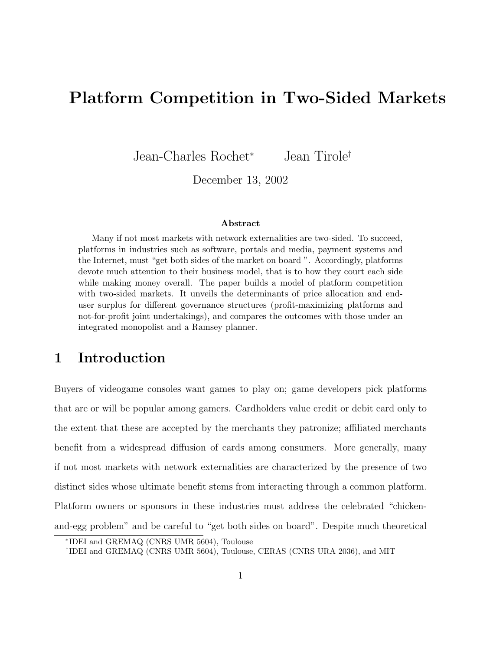# **Platform Competition in Two-Sided Markets**

Jean-Charles Rochet<sup>∗</sup> Jean Tirole†

December 13, 2002

#### **Abstract**

Many if not most markets with network externalities are two-sided. To succeed, platforms in industries such as software, portals and media, payment systems and the Internet, must "get both sides of the market on board ". Accordingly, platforms devote much attention to their business model, that is to how they court each side while making money overall. The paper builds a model of platform competition with two-sided markets. It unveils the determinants of price allocation and enduser surplus for different governance structures (profit-maximizing platforms and not-for-profit joint undertakings), and compares the outcomes with those under an integrated monopolist and a Ramsey planner.

## **1 Introduction**

Buyers of videogame consoles want games to play on; game developers pick platforms that are or will be popular among gamers. Cardholders value credit or debit card only to the extent that these are accepted by the merchants they patronize; affiliated merchants benefit from a widespread diffusion of cards among consumers. More generally, many if not most markets with network externalities are characterized by the presence of two distinct sides whose ultimate benefit stems from interacting through a common platform. Platform owners or sponsors in these industries must address the celebrated "chickenand-egg problem" and be careful to "get both sides on board". Despite much theoretical

<sup>∗</sup>IDEI and GREMAQ (CNRS UMR 5604), Toulouse

<sup>†</sup>IDEI and GREMAQ (CNRS UMR 5604), Toulouse, CERAS (CNRS URA 2036), and MIT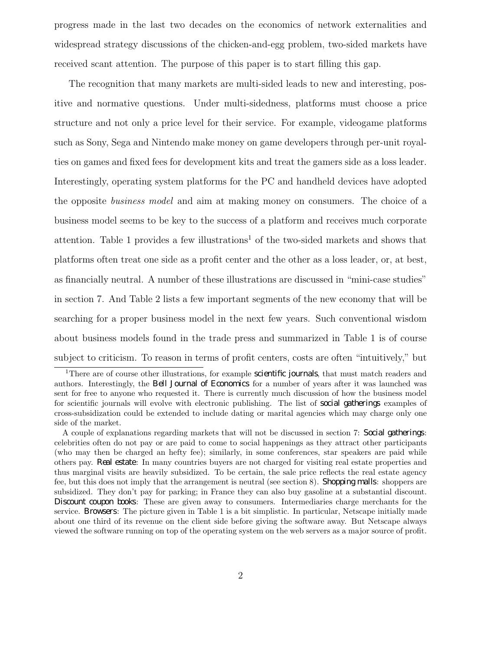progress made in the last two decades on the economics of network externalities and widespread strategy discussions of the chicken-and-egg problem, two-sided markets have received scant attention. The purpose of this paper is to start filling this gap.

The recognition that many markets are multi-sided leads to new and interesting, positive and normative questions. Under multi-sidedness, platforms must choose a price structure and not only a price level for their service. For example, videogame platforms such as Sony, Sega and Nintendo make money on game developers through per-unit royalties on games and fixed fees for development kits and treat the gamers side as a loss leader. Interestingly, operating system platforms for the PC and handheld devices have adopted the opposite business model and aim at making money on consumers. The choice of a business model seems to be key to the success of a platform and receives much corporate attention. Table 1 provides a few illustrations<sup>1</sup> of the two-sided markets and shows that platforms often treat one side as a profit center and the other as a loss leader, or, at best, as financially neutral. A number of these illustrations are discussed in "mini-case studies" in section 7. And Table 2 lists a few important segments of the new economy that will be searching for a proper business model in the next few years. Such conventional wisdom about business models found in the trade press and summarized in Table 1 is of course subject to criticism. To reason in terms of profit centers, costs are often "intuitively," but

<sup>&</sup>lt;sup>1</sup>There are of course other illustrations, for example *scienti<sup>-</sup>c journals*, that must match readers and authors. Interestingly, the *Bell Journal of Economics* for a number of years after it was launched was sent for free to anyone who requested it. There is currently much discussion of how the business model for scientific journals will evolve with electronic publishing. The list of *social gatherings* examples of cross-subsidization could be extended to include dating or marital agencies which may charge only one side of the market.

A couple of explanations regarding markets that will not be discussed in section 7: *Social gatherings*: celebrities often do not pay or are paid to come to social happenings as they attract other participants (who may then be charged an hefty fee); similarly, in some conferences, star speakers are paid while others pay. *Real estate*: In many countries buyers are not charged for visiting real estate properties and thus marginal visits are heavily subsidized. To be certain, the sale price reflects the real estate agency fee, but this does not imply that the arrangement is neutral (see section 8). *Shopping malls*: shoppers are subsidized. They don't pay for parking; in France they can also buy gasoline at a substantial discount. *Discount coupon books*: These are given away to consumers. Intermediaries charge merchants for the service. *Browsers*: The picture given in Table 1 is a bit simplistic. In particular, Netscape initially made about one third of its revenue on the client side before giving the software away. But Netscape always viewed the software running on top of the operating system on the web servers as a major source of profit.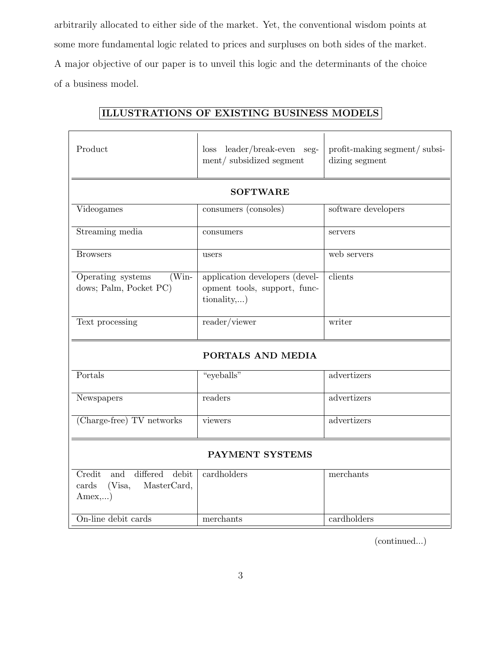arbitrarily allocated to either side of the market. Yet, the conventional wisdom points at some more fundamental logic related to prices and surpluses on both sides of the market. A major objective of our paper is to unveil this logic and the determinants of the choice of a business model.

| Product                                                                        | leader/break-even seg-<br>loss<br>ment/subsidized segment                          | profit-making segment/subsi-<br>dizing segment |  |
|--------------------------------------------------------------------------------|------------------------------------------------------------------------------------|------------------------------------------------|--|
|                                                                                |                                                                                    |                                                |  |
| <b>SOFTWARE</b>                                                                |                                                                                    |                                                |  |
| Videogames                                                                     | consumers (consoles)                                                               | software developers                            |  |
| Streaming media                                                                | consumers                                                                          | servers                                        |  |
| <b>Browsers</b>                                                                | users                                                                              | web servers                                    |  |
| Operating systems<br>$(Win-$<br>dows; Palm, Pocket PC)                         | application developers (devel-<br>opment tools, support, func-<br>$\{tionality,\}$ | clients                                        |  |
| Text processing                                                                | reader/viewer                                                                      | writer                                         |  |
| PORTALS AND MEDIA                                                              |                                                                                    |                                                |  |
| Portals                                                                        | "eyeballs"                                                                         | advertizers                                    |  |
| Newspapers                                                                     | readers                                                                            | advertizers                                    |  |
| (Charge-free) TV networks                                                      | viewers                                                                            | advertizers                                    |  |
| PAYMENT SYSTEMS                                                                |                                                                                    |                                                |  |
| Credit<br>differed<br>debit<br>and<br>MasterCard,<br>cards<br>(Visa,<br>Amex,) | cardholders                                                                        | merchants                                      |  |
| On-line debit cards                                                            | merchants                                                                          | cardholders                                    |  |

### **ILLUSTRATIONS OF EXISTING BUSINESS MODELS**

(continued...)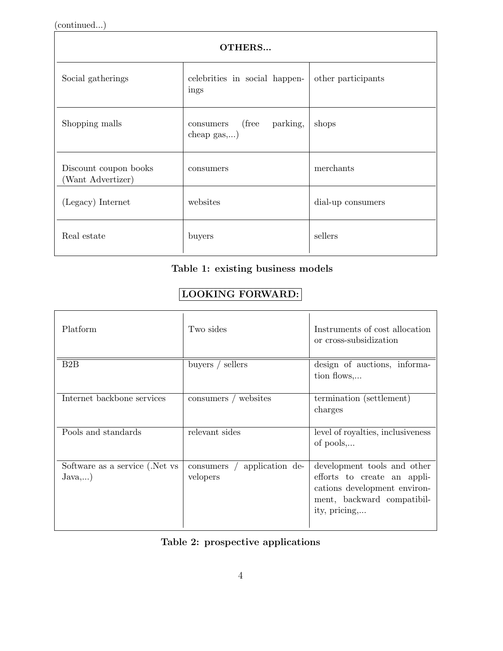(continued...)

| <b>OTHERS</b>                              |                                                                 |                    |  |
|--------------------------------------------|-----------------------------------------------------------------|--------------------|--|
| Social gatherings                          | celebrities in social happen-<br>ings                           | other participants |  |
| Shopping malls                             | (free)<br>parking,<br>consumers<br>cheap $\text{gas}, \ldots$ ) | shops              |  |
| Discount coupon books<br>(Want Advertizer) | consumers                                                       | merchants          |  |
| (Legacy) Internet                          | websites                                                        | dial-up consumers  |  |
| Real estate                                | buyers                                                          | sellers            |  |

### **Table 1: existing business models**

### **LOOKING FORWARD:**

| Platform                                  | Two sides                                | Instruments of cost allocation<br>or cross-subsidization                                                                                  |
|-------------------------------------------|------------------------------------------|-------------------------------------------------------------------------------------------------------------------------------------------|
| B2B                                       | buyers $/$ sellers                       | design of auctions, informa-<br>tion flows,                                                                                               |
| Internet backbone services                | consumers / websites                     | termination (settlement)<br>charges                                                                                                       |
| Pools and standards                       | relevant sides                           | level of royalties, inclusiveness<br>of pools,                                                                                            |
| Software as a service (.Net vs.<br>Java,) | application de-<br>consumers<br>velopers | development tools and other<br>efforts to create an appli-<br>cations development environ-<br>ment, backward compatibil-<br>ity, pricing, |

### **Table 2: prospective applications**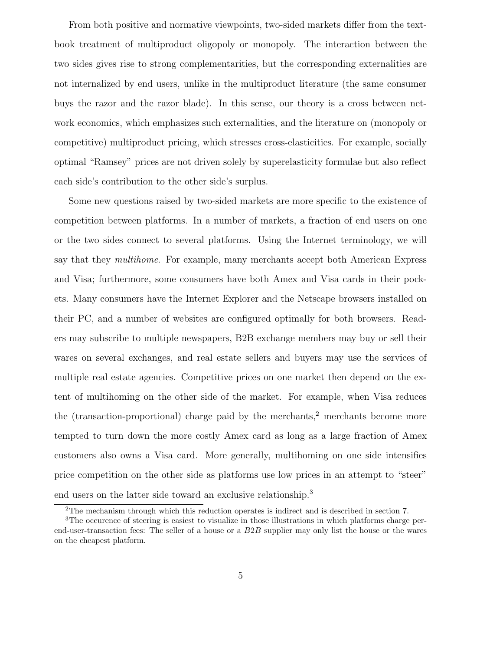From both positive and normative viewpoints, two-sided markets differ from the textbook treatment of multiproduct oligopoly or monopoly. The interaction between the two sides gives rise to strong complementarities, but the corresponding externalities are not internalized by end users, unlike in the multiproduct literature (the same consumer buys the razor and the razor blade). In this sense, our theory is a cross between network economics, which emphasizes such externalities, and the literature on (monopoly or competitive) multiproduct pricing, which stresses cross-elasticities. For example, socially optimal "Ramsey" prices are not driven solely by superelasticity formulae but also reflect each side's contribution to the other side's surplus.

Some new questions raised by two-sided markets are more specific to the existence of competition between platforms. In a number of markets, a fraction of end users on one or the two sides connect to several platforms. Using the Internet terminology, we will say that they *multihome*. For example, many merchants accept both American Express and Visa; furthermore, some consumers have both Amex and Visa cards in their pockets. Many consumers have the Internet Explorer and the Netscape browsers installed on their PC, and a number of websites are configured optimally for both browsers. Readers may subscribe to multiple newspapers, B2B exchange members may buy or sell their wares on several exchanges, and real estate sellers and buyers may use the services of multiple real estate agencies. Competitive prices on one market then depend on the extent of multihoming on the other side of the market. For example, when Visa reduces the (transaction-proportional) charge paid by the merchants, $\frac{2}{3}$  merchants become more tempted to turn down the more costly Amex card as long as a large fraction of Amex customers also owns a Visa card. More generally, multihoming on one side intensifies price competition on the other side as platforms use low prices in an attempt to "steer" end users on the latter side toward an exclusive relationship.<sup>3</sup>

<sup>2</sup>The mechanism through which this reduction operates is indirect and is described in section 7.

<sup>3</sup>The occurence of steering is easiest to visualize in those illustrations in which platforms charge perend-user-transaction fees: The seller of a house or a B2B supplier may only list the house or the wares on the cheapest platform.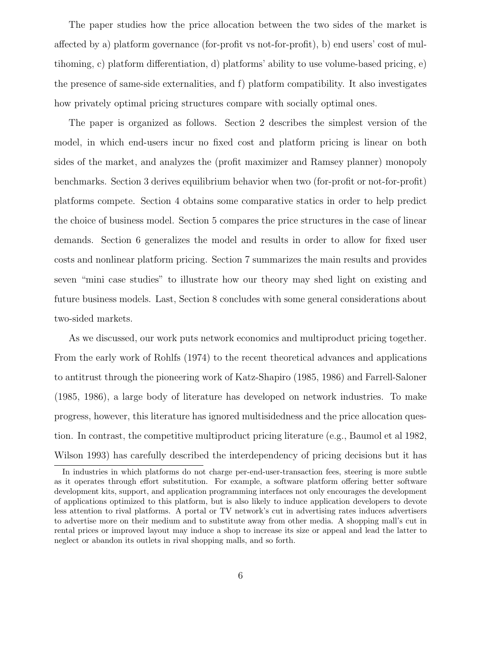The paper studies how the price allocation between the two sides of the market is affected by a) platform governance (for-profit vs not-for-profit), b) end users' cost of multihoming, c) platform differentiation, d) platforms' ability to use volume-based pricing, e) the presence of same-side externalities, and f) platform compatibility. It also investigates how privately optimal pricing structures compare with socially optimal ones.

The paper is organized as follows. Section 2 describes the simplest version of the model, in which end-users incur no fixed cost and platform pricing is linear on both sides of the market, and analyzes the (profit maximizer and Ramsey planner) monopoly benchmarks. Section 3 derives equilibrium behavior when two (for-profit or not-for-profit) platforms compete. Section 4 obtains some comparative statics in order to help predict the choice of business model. Section 5 compares the price structures in the case of linear demands. Section 6 generalizes the model and results in order to allow for fixed user costs and nonlinear platform pricing. Section 7 summarizes the main results and provides seven "mini case studies" to illustrate how our theory may shed light on existing and future business models. Last, Section 8 concludes with some general considerations about two-sided markets.

As we discussed, our work puts network economics and multiproduct pricing together. From the early work of Rohlfs (1974) to the recent theoretical advances and applications to antitrust through the pioneering work of Katz-Shapiro (1985, 1986) and Farrell-Saloner (1985, 1986), a large body of literature has developed on network industries. To make progress, however, this literature has ignored multisidedness and the price allocation question. In contrast, the competitive multiproduct pricing literature (e.g., Baumol et al 1982, Wilson 1993) has carefully described the interdependency of pricing decisions but it has

In industries in which platforms do not charge per-end-user-transaction fees, steering is more subtle as it operates through effort substitution. For example, a software platform offering better software development kits, support, and application programming interfaces not only encourages the development of applications optimized to this platform, but is also likely to induce application developers to devote less attention to rival platforms. A portal or TV network's cut in advertising rates induces advertisers to advertise more on their medium and to substitute away from other media. A shopping mall's cut in rental prices or improved layout may induce a shop to increase its size or appeal and lead the latter to neglect or abandon its outlets in rival shopping malls, and so forth.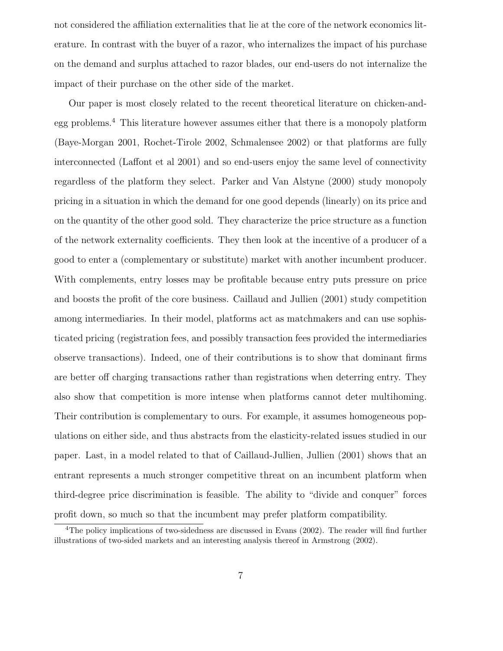not considered the affiliation externalities that lie at the core of the network economics literature. In contrast with the buyer of a razor, who internalizes the impact of his purchase on the demand and surplus attached to razor blades, our end-users do not internalize the impact of their purchase on the other side of the market.

Our paper is most closely related to the recent theoretical literature on chicken-andegg problems.<sup>4</sup> This literature however assumes either that there is a monopoly platform (Baye-Morgan 2001, Rochet-Tirole 2002, Schmalensee 2002) or that platforms are fully interconnected (Laffont et al 2001) and so end-users enjoy the same level of connectivity regardless of the platform they select. Parker and Van Alstyne (2000) study monopoly pricing in a situation in which the demand for one good depends (linearly) on its price and on the quantity of the other good sold. They characterize the price structure as a function of the network externality coefficients. They then look at the incentive of a producer of a good to enter a (complementary or substitute) market with another incumbent producer. With complements, entry losses may be profitable because entry puts pressure on price and boosts the profit of the core business. Caillaud and Jullien (2001) study competition among intermediaries. In their model, platforms act as matchmakers and can use sophisticated pricing (registration fees, and possibly transaction fees provided the intermediaries observe transactions). Indeed, one of their contributions is to show that dominant firms are better off charging transactions rather than registrations when deterring entry. They also show that competition is more intense when platforms cannot deter multihoming. Their contribution is complementary to ours. For example, it assumes homogeneous populations on either side, and thus abstracts from the elasticity-related issues studied in our paper. Last, in a model related to that of Caillaud-Jullien, Jullien (2001) shows that an entrant represents a much stronger competitive threat on an incumbent platform when third-degree price discrimination is feasible. The ability to "divide and conquer" forces profit down, so much so that the incumbent may prefer platform compatibility.

<sup>&</sup>lt;sup>4</sup>The policy implications of two-sidedness are discussed in Evans (2002). The reader will find further illustrations of two-sided markets and an interesting analysis thereof in Armstrong (2002).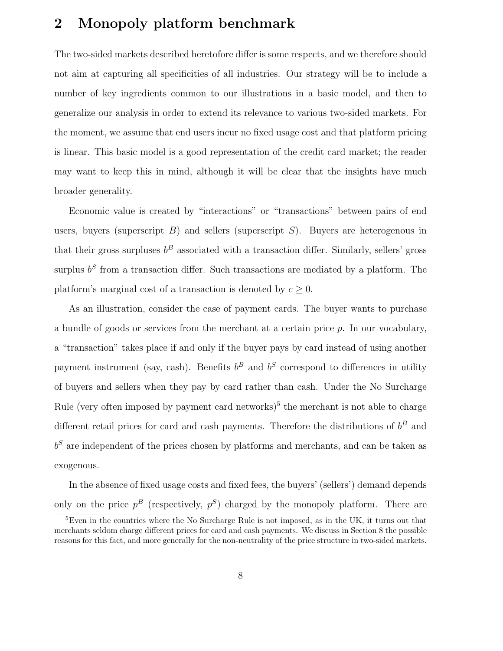## **2 Monopoly platform benchmark**

The two-sided markets described heretofore differ is some respects, and we therefore should not aim at capturing all specificities of all industries. Our strategy will be to include a number of key ingredients common to our illustrations in a basic model, and then to generalize our analysis in order to extend its relevance to various two-sided markets. For the moment, we assume that end users incur no fixed usage cost and that platform pricing is linear. This basic model is a good representation of the credit card market; the reader may want to keep this in mind, although it will be clear that the insights have much broader generality.

Economic value is created by "interactions" or "transactions" between pairs of end users, buyers (superscript  $B$ ) and sellers (superscript  $S$ ). Buyers are heterogenous in that their gross surpluses  $b^B$  associated with a transaction differ. Similarly, sellers' gross surplus  $b<sup>S</sup>$  from a transaction differ. Such transactions are mediated by a platform. The platform's marginal cost of a transaction is denoted by  $c \geq 0$ .

As an illustration, consider the case of payment cards. The buyer wants to purchase a bundle of goods or services from the merchant at a certain price p. In our vocabulary, a "transaction" takes place if and only if the buyer pays by card instead of using another payment instrument (say, cash). Benefits  $b^B$  and  $b^S$  correspond to differences in utility of buyers and sellers when they pay by card rather than cash. Under the No Surcharge Rule (very often imposed by payment card networks)<sup>5</sup> the merchant is not able to charge different retail prices for card and cash payments. Therefore the distributions of  $b^B$  and  $b<sup>S</sup>$  are independent of the prices chosen by platforms and merchants, and can be taken as exogenous.

In the absence of fixed usage costs and fixed fees, the buyers' (sellers') demand depends only on the price  $p^B$  (respectively,  $p^S$ ) charged by the monopoly platform. There are

<sup>&</sup>lt;sup>5</sup>Even in the countries where the No Surcharge Rule is not imposed, as in the UK, it turns out that merchants seldom charge different prices for card and cash payments. We discuss in Section 8 the possible reasons for this fact, and more generally for the non-neutrality of the price structure in two-sided markets.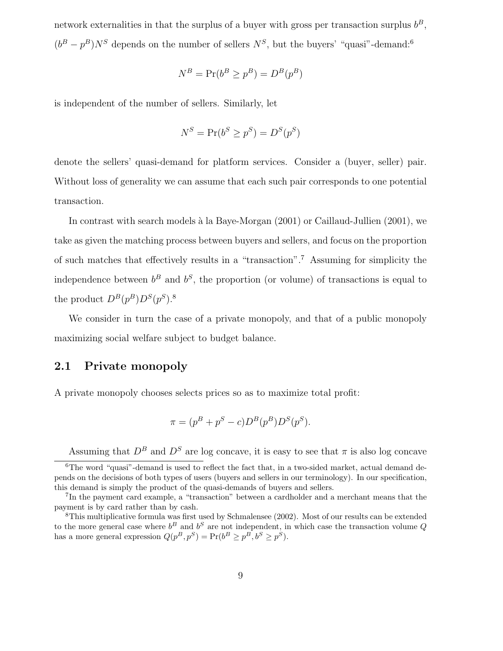network externalities in that the surplus of a buyer with gross per transaction surplus  $b^B$ ,  $(b^B - p^B)N^S$  depends on the number of sellers  $N^S$ , but the buyers' "quasi"-demand:<sup>6</sup>

$$
N^B = \Pr(b^B \ge p^B) = D^B(p^B)
$$

is independent of the number of sellers. Similarly, let

$$
N^S = \Pr(b^S \ge p^S) = D^S(p^S)
$$

denote the sellers' quasi-demand for platform services. Consider a (buyer, seller) pair. Without loss of generality we can assume that each such pair corresponds to one potential transaction.

In contrast with search models à la Baye-Morgan (2001) or Caillaud-Jullien (2001), we take as given the matching process between buyers and sellers, and focus on the proportion of such matches that effectively results in a "transaction".<sup>7</sup> Assuming for simplicity the independence between  $b^B$  and  $b^S$ , the proportion (or volume) of transactions is equal to the product  $D^{B}(p^{B})D^{S}(p^{S})$ .<sup>8</sup>

We consider in turn the case of a private monopoly, and that of a public monopoly maximizing social welfare subject to budget balance.

### **2.1 Private monopoly**

A private monopoly chooses selects prices so as to maximize total profit:

$$
\pi = (p^B + p^S - c)D^B(p^B)D^S(p^S).
$$

Assuming that  $D^B$  and  $D^S$  are log concave, it is easy to see that  $\pi$  is also log concave

 $6$ The word "quasi"-demand is used to reflect the fact that, in a two-sided market, actual demand depends on the decisions of both types of users (buyers and sellers in our terminology). In our specification, this demand is simply the product of the quasi-demands of buyers and sellers.

<sup>7</sup>In the payment card example, a "transaction" between a cardholder and a merchant means that the payment is by card rather than by cash.

<sup>8</sup>This multiplicative formula was first used by Schmalensee (2002). Most of our results can be extended to the more general case where  $b^B$  and  $b^S$  are not independent, in which case the transaction volume Q has a more general expression  $Q(p^B, p^S) = Pr(b^B \ge p^B, b^S \ge p^S)$ .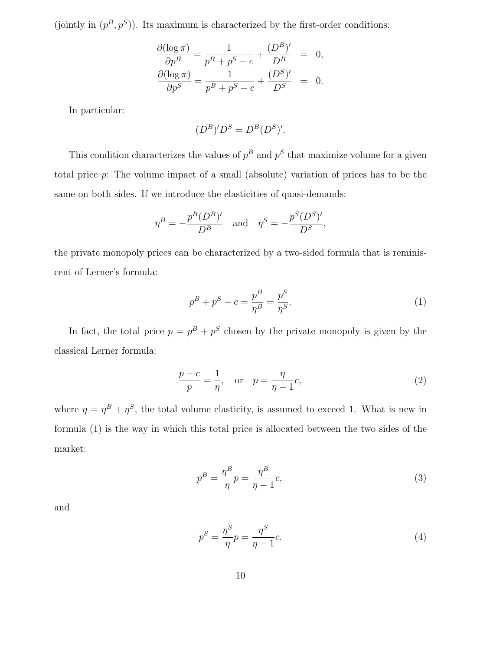(jointly in  $(p^B, p^S)$ ). Its maximum is characterized by the first-order conditions:

$$
\frac{\partial(\log \pi)}{\partial p^B} = \frac{1}{p^B + p^S - c} + \frac{(D^B)'}{D^B} = 0,
$$
  

$$
\frac{\partial(\log \pi)}{\partial p^S} = \frac{1}{p^B + p^S - c} + \frac{(D^S)'}{D^S} = 0.
$$

In particular:

$$
(D^B)'D^S = D^B(D^S)'
$$

This condition characterizes the values of  $p^B$  and  $p^S$  that maximize volume for a given total price p: The volume impact of a small (absolute) variation of prices has to be the same on both sides. If we introduce the elasticities of quasi-demands:

$$
\eta^B = -\frac{p^B (D^B)'}{D^B} \quad \text{and} \quad \eta^S = -\frac{p^S (D^S)'}{D^S},
$$

the private monopoly prices can be characterized by a two-sided formula that is reminiscent of Lerner's formula:

$$
p^{B} + p^{S} - c = \frac{p^{B}}{\eta^{B}} = \frac{p^{S}}{\eta^{S}}.
$$
\n(1)

In fact, the total price  $p = p^B + p^S$  chosen by the private monopoly is given by the classical Lerner formula:

$$
\frac{p-c}{p} = \frac{1}{\eta}, \quad \text{or} \quad p = \frac{\eta}{\eta - 1}c,
$$
\n(2)

where  $\eta = \eta^B + \eta^S$ , the total volume elasticity, is assumed to exceed 1. What is new in formula (1) is the way in which this total price is allocated between the two sides of the market:

$$
p^B = \frac{\eta^B}{\eta} p = \frac{\eta^B}{\eta - 1} c,\tag{3}
$$

and

$$
p^S = \frac{\eta^S}{\eta} p = \frac{\eta^S}{\eta - 1} c. \tag{4}
$$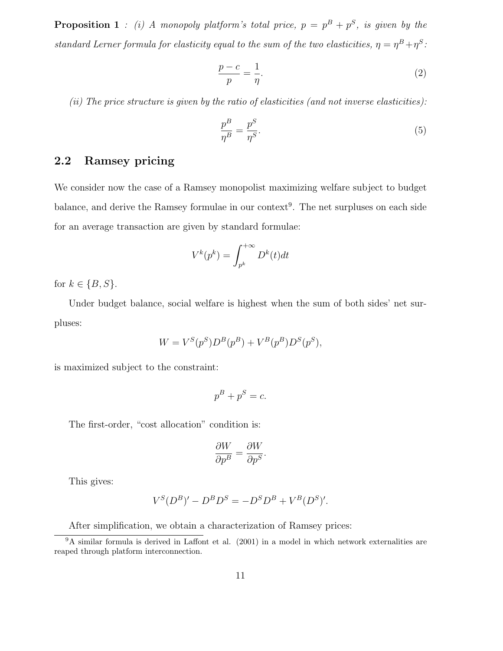**Proposition 1** : (i) A monopoly platform's total price,  $p = p^B + p^S$ , is given by the standard Lerner formula for elasticity equal to the sum of the two elasticities,  $\eta = \eta^B + \eta^S$ :

$$
\frac{p-c}{p} = \frac{1}{\eta}.\tag{2}
$$

(ii) The price structure is given by the ratio of elasticities (and not inverse elasticities):

$$
\frac{p^B}{\eta^B} = \frac{p^S}{\eta^S}.\tag{5}
$$

### **2.2 Ramsey pricing**

We consider now the case of a Ramsey monopolist maximizing welfare subject to budget balance, and derive the Ramsey formulae in our context<sup>9</sup>. The net surpluses on each side for an average transaction are given by standard formulae:

$$
V^k(p^k) = \int_{p^k}^{+\infty} D^k(t)dt
$$

for  $k \in \{B, S\}.$ 

Under budget balance, social welfare is highest when the sum of both sides' net surpluses:

$$
W = V^{S}(p^{S})D^{B}(p^{B}) + V^{B}(p^{B})D^{S}(p^{S}),
$$

is maximized subject to the constraint:

$$
p^B + p^S = c.
$$

The first-order, "cost allocation" condition is:

$$
\frac{\partial W}{\partial p^B} = \frac{\partial W}{\partial p^S}.
$$

This gives:

$$
V^{S}(D^{B})' - D^{B}D^{S} = -D^{S}D^{B} + V^{B}(D^{S})'.
$$

After simplification, we obtain a characterization of Ramsey prices:

 $9A \sin \theta$  similar formula is derived in Laffont et al. (2001) in a model in which network externalities are reaped through platform interconnection.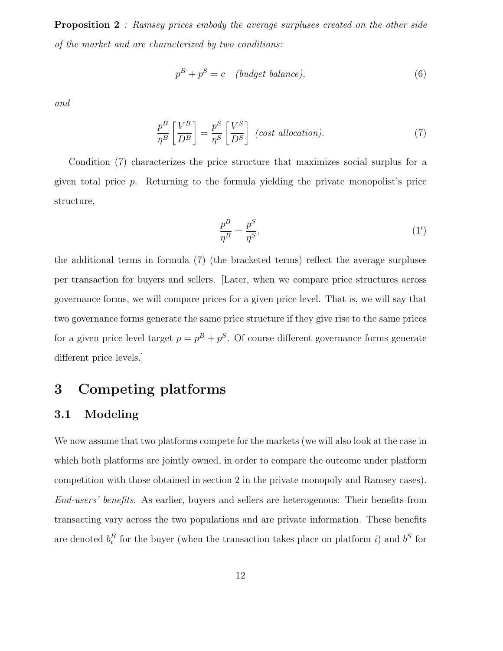**Proposition 2** : Ramsey prices embody the average surpluses created on the other side of the market and are characterized by two conditions:

$$
p^B + p^S = c \quad (budget\ balance), \tag{6}
$$

and

$$
\frac{p^B}{\eta^B} \left[ \frac{V^B}{D^B} \right] = \frac{p^S}{\eta^S} \left[ \frac{V^S}{D^S} \right] \quad (cost\,\, allocation). \tag{7}
$$

Condition (7) characterizes the price structure that maximizes social surplus for a given total price p. Returning to the formula yielding the private monopolist's price structure,

$$
\frac{p^B}{\eta^B} = \frac{p^S}{\eta^S},\tag{1'}
$$

the additional terms in formula (7) (the bracketed terms) reflect the average surpluses per transaction for buyers and sellers. [Later, when we compare price structures across governance forms, we will compare prices for a given price level. That is, we will say that two governance forms generate the same price structure if they give rise to the same prices for a given price level target  $p = p^B + p^S$ . Of course different governance forms generate different price levels.]

### **3 Competing platforms**

### **3.1 Modeling**

We now assume that two platforms compete for the markets (we will also look at the case in which both platforms are jointly owned, in order to compare the outcome under platform competition with those obtained in section 2 in the private monopoly and Ramsey cases). End-users' benefits. As earlier, buyers and sellers are heterogenous: Their benefits from transacting vary across the two populations and are private information. These benefits are denoted  $b_i^B$  for the buyer (when the transaction takes place on platform i) and  $b^S$  for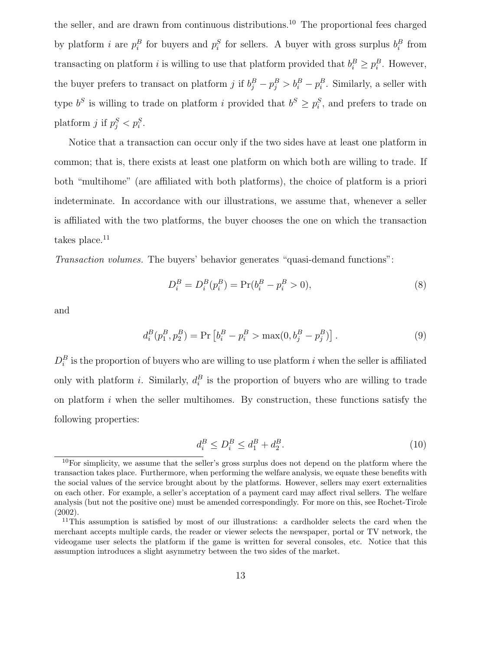the seller, and are drawn from continuous distributions.<sup>10</sup> The proportional fees charged by platform *i* are  $p_i^B$  for buyers and  $p_i^S$  for sellers. A buyer with gross surplus  $b_i^B$  from transacting on platform i is willing to use that platform provided that  $b_i^B \geq p_i^B$ . However, the buyer prefers to transact on platform j if  $b_i^B - p_i^B > b_i^B - p_i^B$ . Similarly, a seller with type  $b^S$  is willing to trade on platform i provided that  $b^S \geq p_i^S$ , and prefers to trade on platform j if  $p_i^S < p_i^S$ .

Notice that a transaction can occur only if the two sides have at least one platform in common; that is, there exists at least one platform on which both are willing to trade. If both "multihome" (are affiliated with both platforms), the choice of platform is a priori indeterminate. In accordance with our illustrations, we assume that, whenever a seller is affiliated with the two platforms, the buyer chooses the one on which the transaction takes place.<sup>11</sup>

Transaction volumes. The buyers' behavior generates "quasi-demand functions":

$$
D_i^B = D_i^B(p_i^B) = \Pr(b_i^B - p_i^B > 0),\tag{8}
$$

and

$$
d_i^B(p_1^B, p_2^B) = \Pr\left[b_i^B - p_i^B > \max(0, b_j^B - p_j^B)\right].\tag{9}
$$

 $D_i^B$  is the proportion of buyers who are willing to use platform i when the seller is affiliated only with platform *i*. Similarly,  $d_i^B$  is the proportion of buyers who are willing to trade on platform  $i$  when the seller multihomes. By construction, these functions satisfy the following properties:

$$
d_i^B \le D_i^B \le d_1^B + d_2^B. \tag{10}
$$

 $10$ For simplicity, we assume that the seller's gross surplus does not depend on the platform where the transaction takes place. Furthermore, when performing the welfare analysis, we equate these benefits with the social values of the service brought about by the platforms. However, sellers may exert externalities on each other. For example, a seller's acceptation of a payment card may affect rival sellers. The welfare analysis (but not the positive one) must be amended correspondingly. For more on this, see Rochet-Tirole (2002).

<sup>&</sup>lt;sup>11</sup>This assumption is satisfied by most of our illustrations: a cardholder selects the card when the merchant accepts multiple cards, the reader or viewer selects the newspaper, portal or TV network, the videogame user selects the platform if the game is written for several consoles, etc. Notice that this assumption introduces a slight asymmetry between the two sides of the market.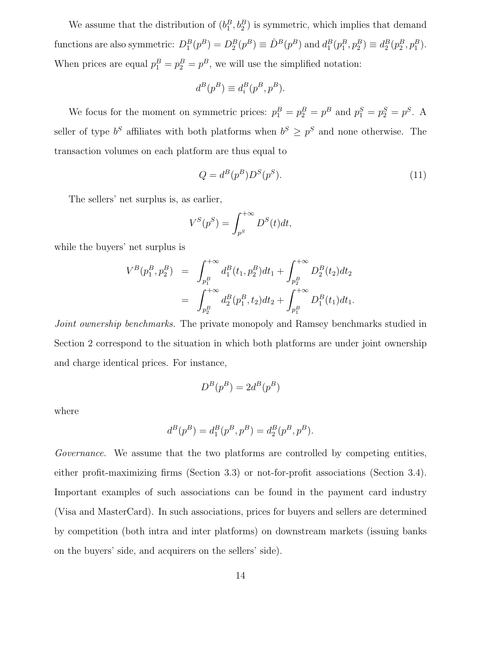We assume that the distribution of  $(b_1^B, b_2^B)$  is symmetric, which implies that demand functions are also symmetric:  $D_1^B(p^B) = D_2^B(p^B) \equiv \hat{D}^B(p^B)$  and  $d_1^B(p_1^B, p_2^B) \equiv d_2^B(p_2^B, p_1^B)$ . When prices are equal  $p_1^B = p_2^B = p^B$ , we will use the simplified notation:

$$
d^B(p^B) \equiv d^B_i(p^B,p^B).
$$

We focus for the moment on symmetric prices:  $p_1^B = p_2^B = p^B$  and  $p_1^S = p_2^S = p^S$ . A seller of type  $b^S$  affiliates with both platforms when  $b^S \ge p^S$  and none otherwise. The transaction volumes on each platform are thus equal to

$$
Q = d^B(p^B)D^S(p^S). \tag{11}
$$

The sellers' net surplus is, as earlier,

$$
V^S(p^S) = \int_{p^S}^{+\infty} D^S(t)dt,
$$

while the buyers' net surplus is

$$
V^{B}(p_{1}^{B}, p_{2}^{B}) = \int_{p_{1}^{B}}^{+\infty} d_{1}^{B}(t_{1}, p_{2}^{B})dt_{1} + \int_{p_{2}^{B}}^{+\infty} D_{2}^{B}(t_{2})dt_{2}
$$
  
= 
$$
\int_{p_{2}^{B}}^{+\infty} d_{2}^{B}(p_{1}^{B}, t_{2})dt_{2} + \int_{p_{1}^{B}}^{+\infty} D_{1}^{B}(t_{1})dt_{1}.
$$

Joint ownership benchmarks. The private monopoly and Ramsey benchmarks studied in Section 2 correspond to the situation in which both platforms are under joint ownership and charge identical prices. For instance,

$$
D^B(p^B) = 2 d^B(p^B) \\
$$

where

$$
d^B(p^B) = d_1^B(p^B, p^B) = d_2^B(p^B, p^B).
$$

Governance. We assume that the two platforms are controlled by competing entities, either profit-maximizing firms (Section 3.3) or not-for-profit associations (Section 3.4). Important examples of such associations can be found in the payment card industry (Visa and MasterCard). In such associations, prices for buyers and sellers are determined by competition (both intra and inter platforms) on downstream markets (issuing banks on the buyers' side, and acquirers on the sellers' side).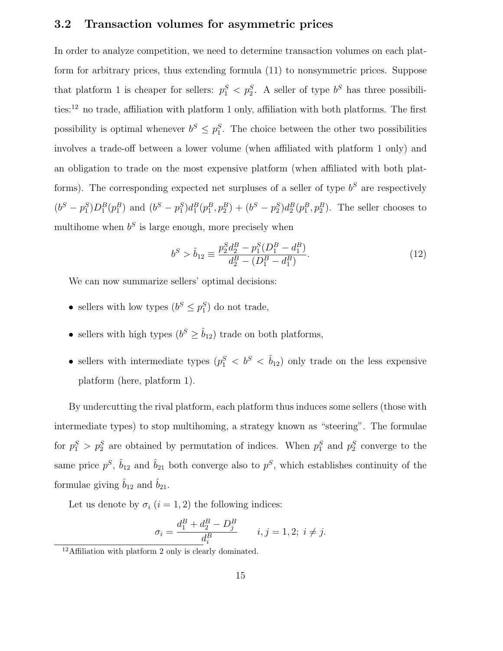#### **3.2 Transaction volumes for asymmetric prices**

In order to analyze competition, we need to determine transaction volumes on each platform for arbitrary prices, thus extending formula (11) to nonsymmetric prices. Suppose that platform 1 is cheaper for sellers:  $p_1^S < p_2^S$ . A seller of type  $b^S$  has three possibilities: $^{12}$  no trade, affiliation with platform 1 only, affiliation with both platforms. The first possibility is optimal whenever  $b^S \leq p_1^S$ . The choice between the other two possibilities involves a trade-off between a lower volume (when affiliated with platform 1 only) and an obligation to trade on the most expensive platform (when affiliated with both platforms). The corresponding expected net surpluses of a seller of type  $b^S$  are respectively  $(b^S - p_1^S)D_1^B(p_1^B)$  and  $(b^S - p_1^S)d_1^B(p_1^B, p_2^B) + (b^S - p_2^S)d_2^B(p_1^B, p_2^B)$ . The seller chooses to multihome when  $b<sup>S</sup>$  is large enough, more precisely when

$$
b^{S} > \hat{b}_{12} \equiv \frac{p_2^{S} d_2^{B} - p_1^{S} (D_1^{B} - d_1^{B})}{d_2^{B} - (D_1^{B} - d_1^{B})}.
$$
\n(12)

We can now summarize sellers' optimal decisions:

- sellers with low types  $(b^S \leq p_1^S)$  do not trade,
- sellers with high types  $(b^S \geq \hat{b}_{12})$  trade on both platforms,
- sellers with intermediate types  $(p_1^S < b^S < \hat{b}_{12})$  only trade on the less expensive platform (here, platform 1).

By undercutting the rival platform, each platform thus induces some sellers (those with intermediate types) to stop multihoming, a strategy known as "steering". The formulae for  $p_1^S > p_2^S$  are obtained by permutation of indices. When  $p_1^S$  and  $p_2^S$  converge to the same price  $p^S$ ,  $\hat{b}_{12}$  and  $\hat{b}_{21}$  both converge also to  $p^S$ , which establishes continuity of the formulae giving  $\hat{b}_{12}$  and  $\hat{b}_{21}$ .

Let us denote by  $\sigma_i$   $(i = 1, 2)$  the following indices:

$$
\sigma_i = \frac{d_1^B + d_2^B - D_j^B}{d_i^B} \qquad i, j = 1, 2; \ i \neq j.
$$

<sup>12</sup>Affiliation with platform 2 only is clearly dominated.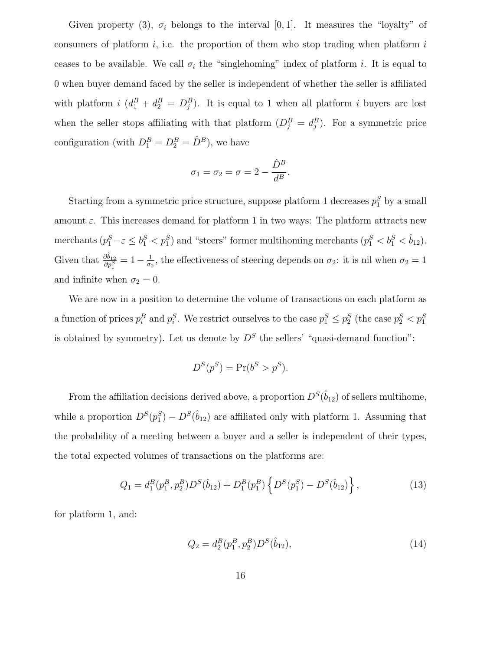Given property (3),  $\sigma_i$  belongs to the interval [0, 1]. It measures the "loyalty" of consumers of platform  $i$ , i.e. the proportion of them who stop trading when platform  $i$ ceases to be available. We call  $\sigma_i$  the "singlehoming" index of platform i. It is equal to 0 when buyer demand faced by the seller is independent of whether the seller is affiliated with platform  $i(d_1^B + d_2^B = D_j^B)$ . It is equal to 1 when all platform i buyers are lost when the seller stops affiliating with that platform  $(D_i^B = d_i^B)$ . For a symmetric price configuration (with  $D_1^B = D_2^B = \hat{D}^B$ ), we have

$$
\sigma_1 = \sigma_2 = \sigma = 2 - \frac{\hat{D}^B}{d^B}.
$$

Starting from a symmetric price structure, suppose platform 1 decreases  $p_1^S$  by a small amount  $\varepsilon$ . This increases demand for platform 1 in two ways: The platform attracts new merchants  $(p_1^S - \varepsilon \leq b_1^S < p_1^S)$  and "steers" former multihoming merchants  $(p_1^S < b_1^S < b_{12}^S)$ . Given that  $\frac{\partial \hat{b}_{12}}{\partial p_1^S} = 1 - \frac{1}{\sigma_2}$ , the effectiveness of steering depends on  $\sigma_2$ : it is nil when  $\sigma_2 = 1$ and infinite when  $\sigma_2 = 0$ .

We are now in a position to determine the volume of transactions on each platform as a function of prices  $p_i^B$  and  $p_i^S$ . We restrict ourselves to the case  $p_1^S \leq p_2^S$  (the case  $p_2^S < p_1^S$ is obtained by symmetry). Let us denote by  $D<sup>S</sup>$  the sellers' "quasi-demand function":

$$
D^{S}(p^{S}) = \Pr(b^{S} > p^{S}).
$$

From the affiliation decisions derived above, a proportion  $D^{S}(\hat{b}_{12})$  of sellers multihome, while a proportion  $D^{S}(p_1^{S}) - D^{S}(\hat{b}_{12})$  are affiliated only with platform 1. Assuming that the probability of a meeting between a buyer and a seller is independent of their types, the total expected volumes of transactions on the platforms are:

$$
Q_1 = d_1^B(p_1^B, p_2^B)D^S(\hat{b}_{12}) + D_1^B(p_1^B) \left\{ D^S(p_1^S) - D^S(\hat{b}_{12}) \right\},\tag{13}
$$

for platform 1, and:

$$
Q_2 = d_2^B(p_1^B, p_2^B)D^S(\hat{b}_{12}),
$$
\n(14)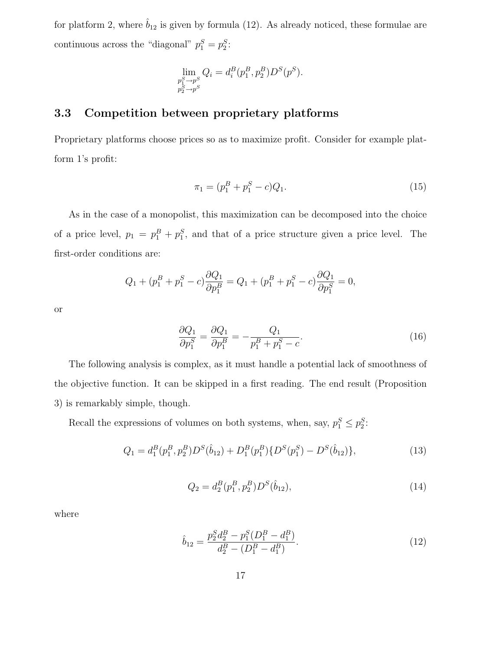for platform 2, where  $\hat{b}_{12}$  is given by formula (12). As already noticed, these formulae are continuous across the "diagonal"  $p_1^S = p_2^S$ :

$$
\lim_{\substack{p_1^S \to p^S \\ p_2^S \to p^S}} Q_i = d_i^B(p_1^B, p_2^B) D^S(p^S).
$$

### **3.3 Competition between proprietary platforms**

Proprietary platforms choose prices so as to maximize profit. Consider for example platform 1's profit:

$$
\pi_1 = (p_1^B + p_1^S - c)Q_1.
$$
\n(15)

As in the case of a monopolist, this maximization can be decomposed into the choice of a price level,  $p_1 = p_1^B + p_1^S$ , and that of a price structure given a price level. The first-order conditions are:

$$
Q_1 + (p_1^B + p_1^S - c) \frac{\partial Q_1}{\partial p_1^B} = Q_1 + (p_1^B + p_1^S - c) \frac{\partial Q_1}{\partial p_1^S} = 0,
$$

or

$$
\frac{\partial Q_1}{\partial p_1^S} = \frac{\partial Q_1}{\partial p_1^B} = -\frac{Q_1}{p_1^B + p_1^S - c}.\tag{16}
$$

The following analysis is complex, as it must handle a potential lack of smoothness of the objective function. It can be skipped in a first reading. The end result (Proposition 3) is remarkably simple, though.

Recall the expressions of volumes on both systems, when, say,  $p_1^S \leq p_2^S$ :

$$
Q_1 = d_1^B(p_1^B, p_2^B)D^S(\hat{b}_{12}) + D_1^B(p_1^B)\{D^S(p_1^S) - D^S(\hat{b}_{12})\},\tag{13}
$$

$$
Q_2 = d_2^B(p_1^B, p_2^B)D^S(\hat{b}_{12}),
$$
\n(14)

where

$$
\hat{b}_{12} = \frac{p_2^S d_2^B - p_1^S (D_1^B - d_1^B)}{d_2^B - (D_1^B - d_1^B)}.
$$
\n(12)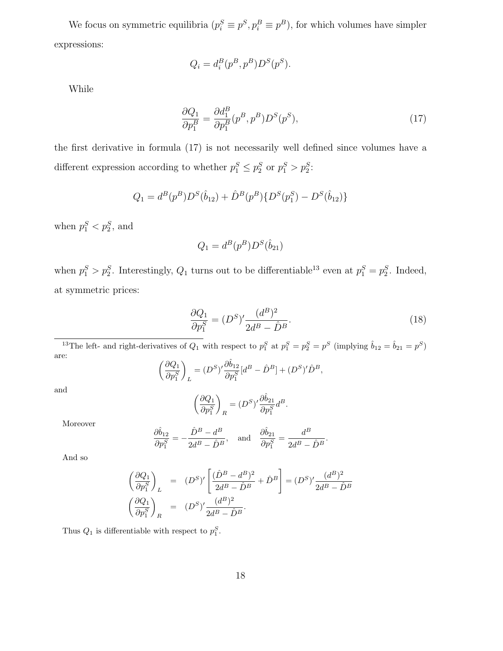We focus on symmetric equilibria  $(p_i^S \equiv p^S, p_i^B \equiv p^B)$ , for which volumes have simpler expressions:

$$
Q_i = d_i^B(p^B, p^B)D^S(p^S).
$$

While

$$
\frac{\partial Q_1}{\partial p_1^B} = \frac{\partial d_1^B}{\partial p_1^B} (p^B, p^B) D^S(p^S),\tag{17}
$$

the first derivative in formula (17) is not necessarily well defined since volumes have a different expression according to whether  $p_1^S \leq p_2^S$  or  $p_1^S > p_2^S$ :

$$
Q_1 = d^B(p^B)D^S(\hat{b}_{12}) + \hat{D}^B(p^B)\{D^S(p_1^S) - D^S(\hat{b}_{12})\}
$$

when  $p_1^S < p_2^S$ , and

$$
Q_1 = d^B(p^B)D^S(\hat{b}_{21})
$$

when  $p_1^S > p_2^S$ . Interestingly,  $Q_1$  turns out to be differentiable<sup>13</sup> even at  $p_1^S = p_2^S$ . Indeed, at symmetric prices:

$$
\frac{\partial Q_1}{\partial p_1^S} = (D^S)' \frac{(d^B)^2}{2d^B - \hat{D}^B}.
$$
\n(18)

<sup>13</sup>The left- and right-derivatives of  $Q_1$  with respect to  $p_1^S$  at  $p_1^S = p_2^S = p^S$  (implying  $\hat{b}_{12} = \hat{b}_{21} = p^S$ ) are:

$$
\left(\frac{\partial Q_1}{\partial p_1^S}\right)_L = (D^S)' \frac{\partial \hat{b}_{12}}{\partial p_1^S} [d^B - \hat{D}^B] + (D^S)' \hat{D}^B,
$$

and

$$
\left(\frac{\partial Q_1}{\partial p_1^S}\right)_R=(D^S)'\frac{\partial \hat{b}_{21}}{\partial p_1^S}d^B.
$$

Moreover

$$
\frac{\partial \hat{b}_{12}}{\partial p_1^S} = -\frac{\hat{D}^B - d^B}{2d^B - \hat{D}^B}, \text{ and } \frac{\partial \hat{b}_{21}}{\partial p_1^S} = \frac{d^B}{2d^B - \hat{D}^B}.
$$

And so

$$
\left(\frac{\partial Q_1}{\partial p_1^S}\right)_L = (D^S)' \left[\frac{(\hat{D}^B - d^B)^2}{2d^B - \hat{D}^B} + \hat{D}^B\right] = (D^S)' \frac{(d^B)^2}{2d^B - \hat{D}^B}
$$

$$
\left(\frac{\partial Q_1}{\partial p_1^S}\right)_R = (D^S)' \frac{(d^B)^2}{2d^B - \hat{D}^B}.
$$

Thus  $Q_1$  is differentiable with respect to  $p_1^S$ .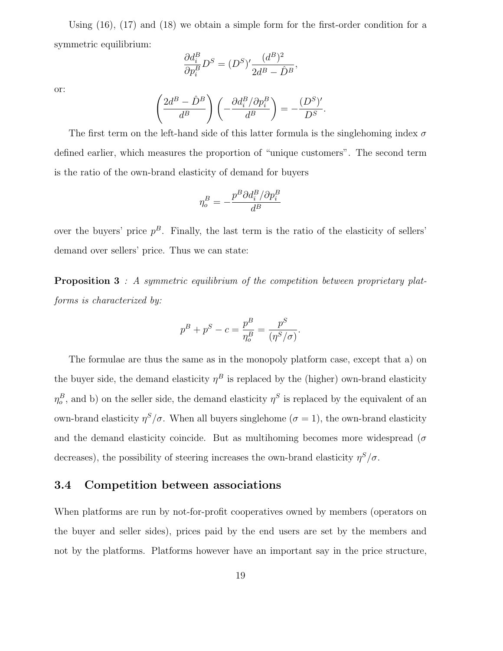Using (16), (17) and (18) we obtain a simple form for the first-order condition for a symmetric equilibrium:

$$
\frac{\partial d_i^B}{\partial p_i^B} D^S = (D^S)' \frac{(d^B)^2}{2d^B - \hat{D}^B},
$$

or:

$$
\left(\frac{2d^B - \hat{D}^B}{d^B}\right)\left(-\frac{\partial d_i^B/\partial p_i^B}{d^B}\right) = -\frac{(D^S)'}{D^S}.
$$

The first term on the left-hand side of this latter formula is the singlehoming index  $\sigma$ defined earlier, which measures the proportion of "unique customers". The second term is the ratio of the own-brand elasticity of demand for buyers

$$
\eta_o^B=-\frac{p^B\partial d_i^B/\partial p_i^B}{d^B}
$$

over the buyers' price  $p^B$ . Finally, the last term is the ratio of the elasticity of sellers' demand over sellers' price. Thus we can state:

**Proposition 3** : A symmetric equilibrium of the competition between proprietary platforms is characterized by:

$$
p^B + p^S - c = \frac{p^B}{\eta_o^B} = \frac{p^S}{(\eta^S/\sigma)}.
$$

The formulae are thus the same as in the monopoly platform case, except that a) on the buyer side, the demand elasticity  $\eta^B$  is replaced by the (higher) own-brand elasticity  $\eta_o^B$ , and b) on the seller side, the demand elasticity  $\eta^S$  is replaced by the equivalent of an own-brand elasticity  $\eta^S/\sigma$ . When all buyers singlehome ( $\sigma = 1$ ), the own-brand elasticity and the demand elasticity coincide. But as multihoming becomes more widespread ( $\sigma$ decreases), the possibility of steering increases the own-brand elasticity  $\eta^S/\sigma$ .

#### **3.4 Competition between associations**

When platforms are run by not-for-profit cooperatives owned by members (operators on the buyer and seller sides), prices paid by the end users are set by the members and not by the platforms. Platforms however have an important say in the price structure,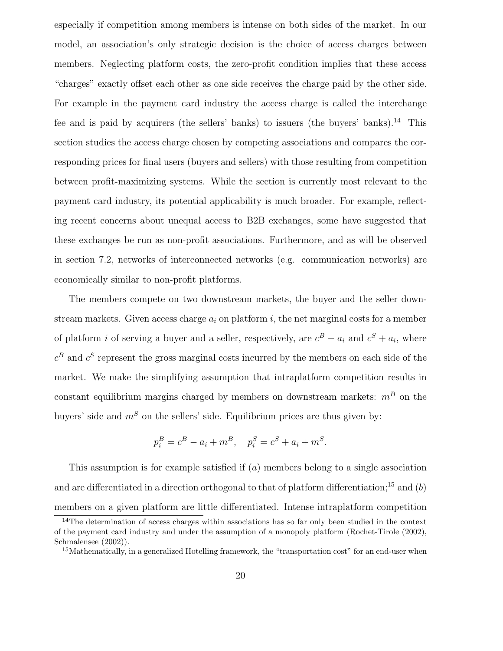especially if competition among members is intense on both sides of the market. In our model, an association's only strategic decision is the choice of access charges between members. Neglecting platform costs, the zero-profit condition implies that these access "charges" exactly offset each other as one side receives the charge paid by the other side. For example in the payment card industry the access charge is called the interchange fee and is paid by acquirers (the sellers' banks) to issuers (the buyers' banks).<sup>14</sup> This section studies the access charge chosen by competing associations and compares the corresponding prices for final users (buyers and sellers) with those resulting from competition between profit-maximizing systems. While the section is currently most relevant to the payment card industry, its potential applicability is much broader. For example, reflecting recent concerns about unequal access to B2B exchanges, some have suggested that these exchanges be run as non-profit associations. Furthermore, and as will be observed in section 7.2, networks of interconnected networks (e.g. communication networks) are economically similar to non-profit platforms.

The members compete on two downstream markets, the buyer and the seller downstream markets. Given access charge  $a_i$  on platform i, the net marginal costs for a member of platform i of serving a buyer and a seller, respectively, are  $c^B - a_i$  and  $c^S + a_i$ , where  $c^B$  and  $c^S$  represent the gross marginal costs incurred by the members on each side of the market. We make the simplifying assumption that intraplatform competition results in constant equilibrium margins charged by members on downstream markets:  $m<sup>B</sup>$  on the buyers' side and  $m<sup>S</sup>$  on the sellers' side. Equilibrium prices are thus given by:

$$
p_i^B = c^B - a_i + m^B
$$
,  $p_i^S = c^S + a_i + m^S$ .

This assumption is for example satisfied if (a) members belong to a single association and are differentiated in a direction orthogonal to that of platform differentiation;<sup>15</sup> and  $(b)$ members on a given platform are little differentiated. Intense intraplatform competition

<sup>&</sup>lt;sup>14</sup>The determination of access charges within associations has so far only been studied in the context of the payment card industry and under the assumption of a monopoly platform (Rochet-Tirole (2002), Schmalensee (2002)).

<sup>&</sup>lt;sup>15</sup>Mathematically, in a generalized Hotelling framework, the "transportation cost" for an end-user when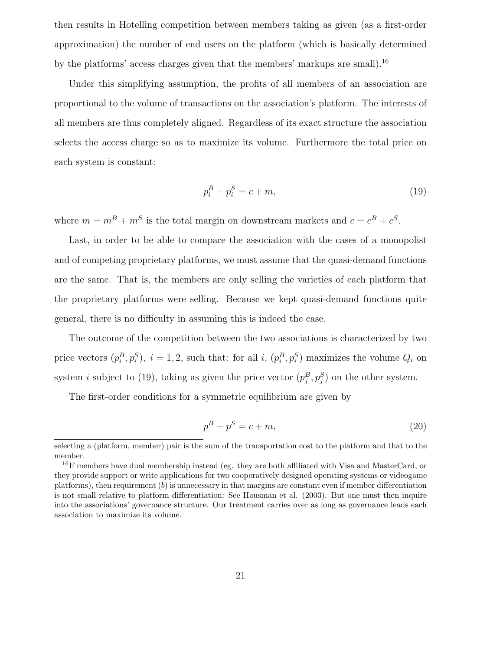then results in Hotelling competition between members taking as given (as a first-order approximation) the number of end users on the platform (which is basically determined by the platforms' access charges given that the members' markups are small).<sup>16</sup>

Under this simplifying assumption, the profits of all members of an association are proportional to the volume of transactions on the association's platform. The interests of all members are thus completely aligned. Regardless of its exact structure the association selects the access charge so as to maximize its volume. Furthermore the total price on each system is constant:

$$
p_i^B + p_i^S = c + m,\t\t(19)
$$

where  $m = m^B + m^S$  is the total margin on downstream markets and  $c = c^B + c^S$ .

Last, in order to be able to compare the association with the cases of a monopolist and of competing proprietary platforms, we must assume that the quasi-demand functions are the same. That is, the members are only selling the varieties of each platform that the proprietary platforms were selling. Because we kept quasi-demand functions quite general, there is no difficulty in assuming this is indeed the case.

The outcome of the competition between the two associations is characterized by two price vectors  $(p_i^B, p_i^S)$ ,  $i = 1, 2$ , such that: for all i,  $(p_i^B, p_i^S)$  maximizes the volume  $Q_i$  on system *i* subject to (19), taking as given the price vector  $(p_j^B, p_j^S)$  on the other system.

The first-order conditions for a symmetric equilibrium are given by

$$
p^B + p^S = c + m,\t\t(20)
$$

selecting a (platform, member) pair is the sum of the transportation cost to the platform and that to the member.

<sup>&</sup>lt;sup>16</sup>If members have dual membership instead (eg. they are both affiliated with Visa and MasterCard, or they provide support or write applications for two cooperatively designed operating systems or videogame platforms), then requirement  $(b)$  is unnecessary in that margins are constant even if member differentiation is not small relative to platform differentiation: See Hausman et al. (2003). But one must then inquire into the associations' governance structure. Our treatment carries over as long as governance leads each association to maximize its volume.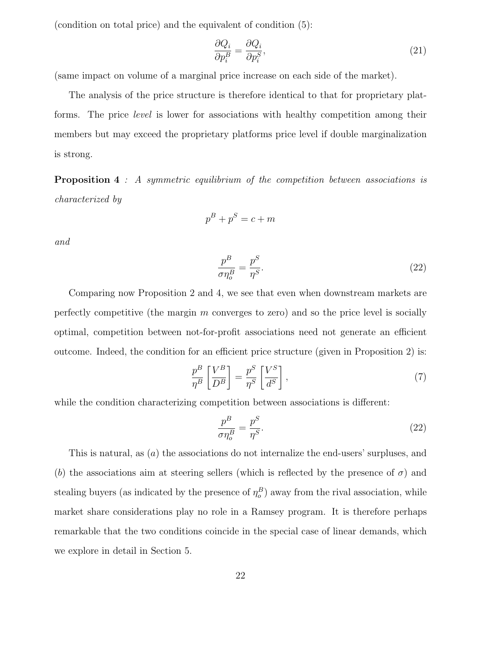(condition on total price) and the equivalent of condition (5):

$$
\frac{\partial Q_i}{\partial p_i^B} = \frac{\partial Q_i}{\partial p_i^S},\tag{21}
$$

(same impact on volume of a marginal price increase on each side of the market).

The analysis of the price structure is therefore identical to that for proprietary platforms. The price level is lower for associations with healthy competition among their members but may exceed the proprietary platforms price level if double marginalization is strong.

**Proposition 4** : A symmetric equilibrium of the competition between associations is characterized by

$$
p^B + p^S = c + m
$$

and

$$
\frac{p^B}{\sigma \eta_o^B} = \frac{p^S}{\eta^S}.\tag{22}
$$

Comparing now Proposition 2 and 4, we see that even when downstream markets are perfectly competitive (the margin m converges to zero) and so the price level is socially optimal, competition between not-for-profit associations need not generate an efficient outcome. Indeed, the condition for an efficient price structure (given in Proposition 2) is:

$$
\frac{p^B}{\eta^B} \left[ \frac{V^B}{D^B} \right] = \frac{p^S}{\eta^S} \left[ \frac{V^S}{d^S} \right],\tag{7}
$$

while the condition characterizing competition between associations is different:

$$
\frac{p^B}{\sigma \eta_o^B} = \frac{p^S}{\eta^S}.\tag{22}
$$

This is natural, as (a) the associations do not internalize the end-users' surpluses, and (b) the associations aim at steering sellers (which is reflected by the presence of  $\sigma$ ) and stealing buyers (as indicated by the presence of  $\eta_o^B$ ) away from the rival association, while market share considerations play no role in a Ramsey program. It is therefore perhaps remarkable that the two conditions coincide in the special case of linear demands, which we explore in detail in Section 5.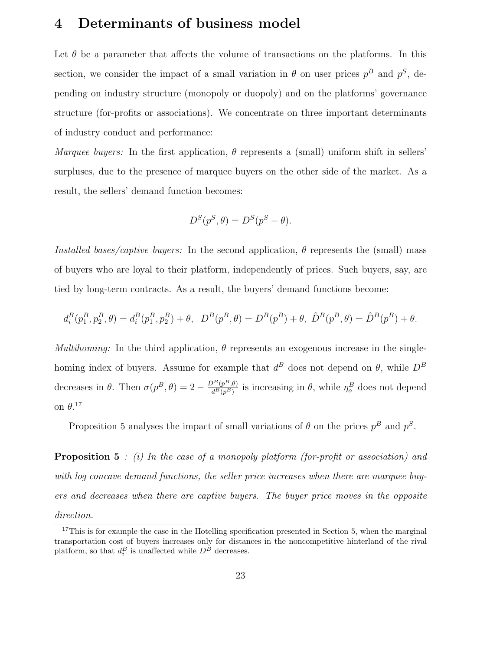## **4 Determinants of business model**

Let  $\theta$  be a parameter that affects the volume of transactions on the platforms. In this section, we consider the impact of a small variation in  $\theta$  on user prices  $p^B$  and  $p^S$ , depending on industry structure (monopoly or duopoly) and on the platforms' governance structure (for-profits or associations). We concentrate on three important determinants of industry conduct and performance:

Marquee buyers: In the first application,  $\theta$  represents a (small) uniform shift in sellers' surpluses, due to the presence of marquee buyers on the other side of the market. As a result, the sellers' demand function becomes:

$$
D^{S}(p^{S}, \theta) = D^{S}(p^{S} - \theta).
$$

Installed bases/captive buyers: In the second application,  $\theta$  represents the (small) mass of buyers who are loyal to their platform, independently of prices. Such buyers, say, are tied by long-term contracts. As a result, the buyers' demand functions become:

$$
d_i^B(p_1^B, p_2^B, \theta) = d_i^B(p_1^B, p_2^B) + \theta, \ D^B(p^B, \theta) = D^B(p^B) + \theta, \ \hat{D}^B(p^B, \theta) = \hat{D}^B(p^B) + \theta.
$$

Multihoming: In the third application,  $\theta$  represents an exogenous increase in the singlehoming index of buyers. Assume for example that  $d^B$  does not depend on  $\theta$ , while  $D^B$ decreases in  $\theta$ . Then  $\sigma(p^B, \theta) = 2 - \frac{D^B(p^B, \theta)}{d^B(p^B)}$  is increasing in  $\theta$ , while  $\eta_o^B$  does not depend on  $\theta$ <sup>17</sup>

Proposition 5 analyses the impact of small variations of  $\theta$  on the prices  $p^B$  and  $p^S$ .

**Proposition 5** : (i) In the case of a monopoly platform (for-profit or association) and with log concave demand functions, the seller price increases when there are marquee buyers and decreases when there are captive buyers. The buyer price moves in the opposite direction.

<sup>&</sup>lt;sup>17</sup>This is for example the case in the Hotelling specification presented in Section 5, when the marginal transportation cost of buyers increases only for distances in the noncompetitive hinterland of the rival platform, so that  $d_i^B$  is unaffected while  $D^B$  decreases.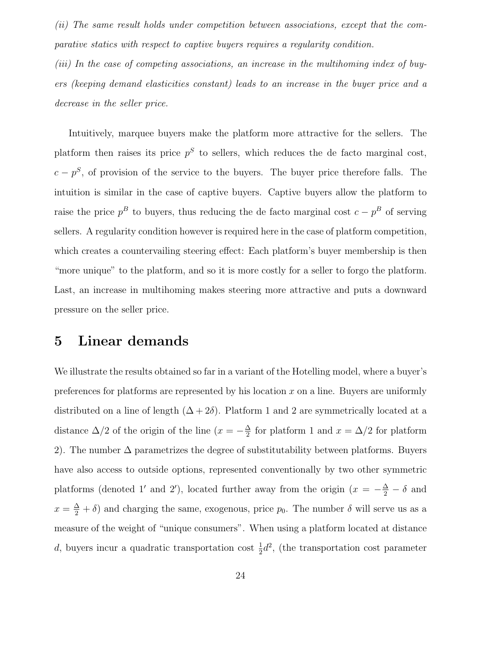(ii) The same result holds under competition between associations, except that the comparative statics with respect to captive buyers requires a regularity condition.

(iii) In the case of competing associations, an increase in the multihoming index of buyers (keeping demand elasticities constant) leads to an increase in the buyer price and a decrease in the seller price.

Intuitively, marquee buyers make the platform more attractive for the sellers. The platform then raises its price  $p<sup>S</sup>$  to sellers, which reduces the de facto marginal cost,  $c - p<sup>S</sup>$ , of provision of the service to the buyers. The buyer price therefore falls. The intuition is similar in the case of captive buyers. Captive buyers allow the platform to raise the price  $p^B$  to buyers, thus reducing the de facto marginal cost  $c - p^B$  of serving sellers. A regularity condition however is required here in the case of platform competition, which creates a countervailing steering effect: Each platform's buyer membership is then "more unique" to the platform, and so it is more costly for a seller to forgo the platform. Last, an increase in multihoming makes steering more attractive and puts a downward pressure on the seller price.

### **5 Linear demands**

We illustrate the results obtained so far in a variant of the Hotelling model, where a buyer's preferences for platforms are represented by his location  $x$  on a line. Buyers are uniformly distributed on a line of length  $(\Delta + 2\delta)$ . Platform 1 and 2 are symmetrically located at a distance  $\Delta/2$  of the origin of the line  $(x = -\frac{\Delta}{2})$  for platform 1 and  $x = \Delta/2$  for platform 2). The number  $\Delta$  parametrizes the degree of substitutability between platforms. Buyers have also access to outside options, represented conventionally by two other symmetric platforms (denoted 1' and 2'), located further away from the origin  $(x = -\frac{\Delta}{2} - \delta$  and  $x = \frac{\Delta}{2} + \delta$  and charging the same, exogenous, price  $p_0$ . The number  $\delta$  will serve us as a measure of the weight of "unique consumers". When using a platform located at distance d, buyers incur a quadratic transportation cost  $\frac{1}{2}d^2$ , (the transportation cost parameter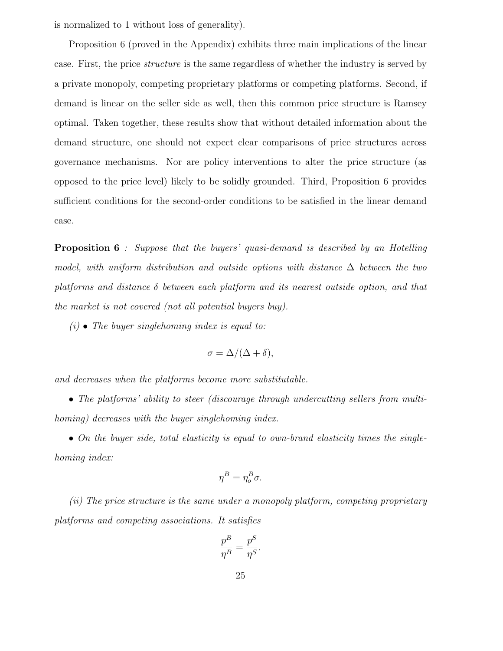is normalized to 1 without loss of generality).

Proposition 6 (proved in the Appendix) exhibits three main implications of the linear case. First, the price structure is the same regardless of whether the industry is served by a private monopoly, competing proprietary platforms or competing platforms. Second, if demand is linear on the seller side as well, then this common price structure is Ramsey optimal. Taken together, these results show that without detailed information about the demand structure, one should not expect clear comparisons of price structures across governance mechanisms. Nor are policy interventions to alter the price structure (as opposed to the price level) likely to be solidly grounded. Third, Proposition 6 provides sufficient conditions for the second-order conditions to be satisfied in the linear demand case.

**Proposition 6** : Suppose that the buyers' quasi-demand is described by an Hotelling model, with uniform distribution and outside options with distance  $\Delta$  between the two platforms and distance  $\delta$  between each platform and its nearest outside option, and that the market is not covered (not all potential buyers buy).

 $(i)$  • The buyer singlehoming index is equal to:

$$
\sigma = \Delta/(\Delta + \delta),
$$

and decreases when the platforms become more substitutable.

• The platforms' ability to steer (discourage through undercutting sellers from multihoming) decreases with the buyer singlehoming index.

• On the buyer side, total elasticity is equal to own-brand elasticity times the singlehoming index:

$$
\eta^B = \eta_o^B \sigma.
$$

(ii) The price structure is the same under a monopoly platform, competing proprietary platforms and competing associations. It satisfies

$$
\frac{p^B}{\eta^B} = \frac{p^S}{\eta^S}.
$$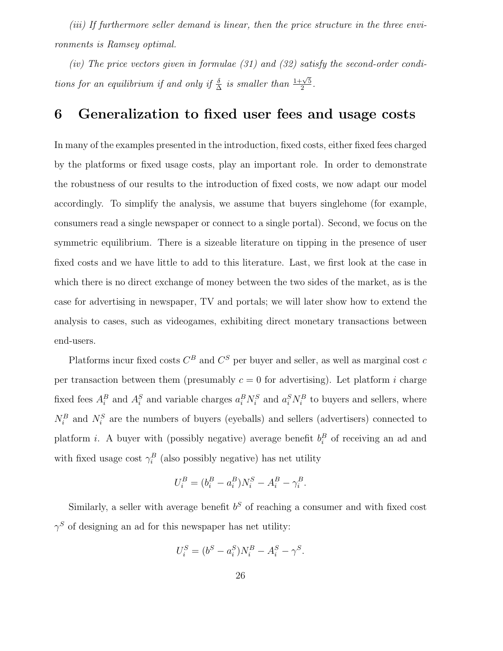(iii) If furthermore seller demand is linear, then the price structure in the three environments is Ramsey optimal.

(iv) The price vectors given in formulae (31) and (32) satisfy the second-order conditions for an equilibrium if and only if  $\frac{\delta}{\Delta}$  is smaller than  $\frac{1+\sqrt{5}}{2}$ .

### **6 Generalization to fixed user fees and usage costs**

In many of the examples presented in the introduction, fixed costs, either fixed fees charged by the platforms or fixed usage costs, play an important role. In order to demonstrate the robustness of our results to the introduction of fixed costs, we now adapt our model accordingly. To simplify the analysis, we assume that buyers singlehome (for example, consumers read a single newspaper or connect to a single portal). Second, we focus on the symmetric equilibrium. There is a sizeable literature on tipping in the presence of user fixed costs and we have little to add to this literature. Last, we first look at the case in which there is no direct exchange of money between the two sides of the market, as is the case for advertising in newspaper, TV and portals; we will later show how to extend the analysis to cases, such as videogames, exhibiting direct monetary transactions between end-users.

Platforms incur fixed costs  $C^B$  and  $C^S$  per buyer and seller, as well as marginal cost c per transaction between them (presumably  $c = 0$  for advertising). Let platform i charge fixed fees  $A_i^B$  and  $A_i^S$  and variable charges  $a_i^B N_i^S$  and  $a_i^S N_i^B$  to buyers and sellers, where  $N_i^B$  and  $N_i^S$  are the numbers of buyers (eyeballs) and sellers (advertisers) connected to platform *i*. A buyer with (possibly negative) average benefit  $b_i^B$  of receiving an ad and with fixed usage cost  $\gamma_i^B$  (also possibly negative) has net utility

$$
U_i^B = (b_i^B - a_i^B)N_i^S - A_i^B - \gamma_i^B.
$$

Similarly, a seller with average benefit  $b<sup>S</sup>$  of reaching a consumer and with fixed cost  $\gamma^S$  of designing an ad for this newspaper has net utility:

$$
U_i^S = (b^S - a_i^S)N_i^B - A_i^S - \gamma^S.
$$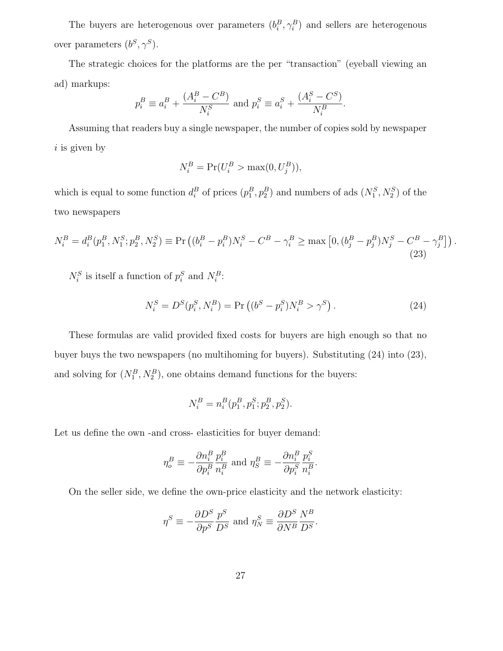The buyers are heterogenous over parameters  $(b_i^B, \gamma_i^B)$  and sellers are heterogenous over parameters  $(b^S, \gamma^S).$ 

The strategic choices for the platforms are the per "transaction" (eyeball viewing an ad) markups:

$$
p_i^B \equiv a_i^B + \frac{(A_i^B - C^B)}{N_i^S} \text{ and } p_i^S \equiv a_i^S + \frac{(A_i^S - C^S)}{N_i^B}
$$

Assuming that readers buy a single newspaper, the number of copies sold by newspaper  $i$  is given by

$$
N_i^B = \Pr(U_i^B > \max(0, U_j^B)),
$$

which is equal to some function  $d_i^B$  of prices  $(p_1^B, p_2^B)$  and numbers of ads  $(N_1^S, N_2^S)$  of the two newspapers

$$
N_i^B = d_i^B(p_1^B, N_1^S; p_2^B, N_2^S) \equiv \Pr\left( (b_i^B - p_i^B) N_i^S - C^B - \gamma_i^B \ge \max\left[ 0, (b_j^B - p_j^B) N_j^S - C^B - \gamma_j^B \right] \right). \tag{23}
$$

 $N_i^S$  is itself a function of  $p_i^S$  and  $N_i^B$ :

$$
N_i^S = D^S(p_i^S, N_i^B) = \Pr\left( (b^S - p_i^S) N_i^B > \gamma^S \right). \tag{24}
$$

.

These formulas are valid provided fixed costs for buyers are high enough so that no buyer buys the two newspapers (no multihoming for buyers). Substituting (24) into (23), and solving for  $(N_1^B, N_2^B)$ , one obtains demand functions for the buyers:

$$
N_i^B = n_i^B(p_1^B, p_1^S; p_2^B, p_2^S).
$$

Let us define the own -and cross- elasticities for buyer demand:

$$
\eta_o^B \equiv -\frac{\partial n_i^B}{\partial p_i^B} \frac{p_i^B}{n_i^B} \text{ and } \eta_S^B \equiv -\frac{\partial n_i^B}{\partial p_i^S} \frac{p_i^S}{n_i^B}.
$$

On the seller side, we define the own-price elasticity and the network elasticity:

$$
\eta^S \equiv -\frac{\partial D^S}{\partial p^S} \frac{p^S}{D^S} \; \text{and} \; \eta_N^S \equiv \frac{\partial D^S}{\partial N^B} \frac{N^B}{D^S}.
$$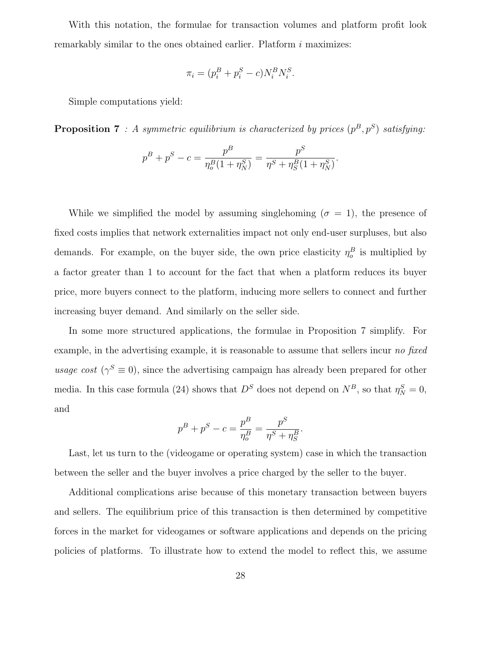With this notation, the formulae for transaction volumes and platform profit look remarkably similar to the ones obtained earlier. Platform i maximizes:

$$
\pi_i = (p_i^B + p_i^S - c)N_i^B N_i^S.
$$

Simple computations yield:

**Proposition 7** : A symmetric equilibrium is characterized by prices  $(p^B, p^S)$  satisfying:

$$
p^{B} + p^{S} - c = \frac{p^{B}}{\eta_{o}^{B}(1 + \eta_{N}^{S})} = \frac{p^{S}}{\eta^{S} + \eta_{S}^{B}(1 + \eta_{N}^{S})}.
$$

While we simplified the model by assuming singlehoming ( $\sigma = 1$ ), the presence of fixed costs implies that network externalities impact not only end-user surpluses, but also demands. For example, on the buyer side, the own price elasticity  $\eta_o^B$  is multiplied by a factor greater than 1 to account for the fact that when a platform reduces its buyer price, more buyers connect to the platform, inducing more sellers to connect and further increasing buyer demand. And similarly on the seller side.

In some more structured applications, the formulae in Proposition 7 simplify. For example, in the advertising example, it is reasonable to assume that sellers incur no fixed usage cost ( $\gamma^S \equiv 0$ ), since the advertising campaign has already been prepared for other media. In this case formula (24) shows that  $D<sup>S</sup>$  does not depend on  $N<sup>B</sup>$ , so that  $\eta_N^S = 0$ , and

$$
p^{B} + p^{S} - c = \frac{p^{B}}{\eta_{o}^{B}} = \frac{p^{S}}{\eta^{S} + \eta_{S}^{B}}.
$$

Last, let us turn to the (videogame or operating system) case in which the transaction between the seller and the buyer involves a price charged by the seller to the buyer.

Additional complications arise because of this monetary transaction between buyers and sellers. The equilibrium price of this transaction is then determined by competitive forces in the market for videogames or software applications and depends on the pricing policies of platforms. To illustrate how to extend the model to reflect this, we assume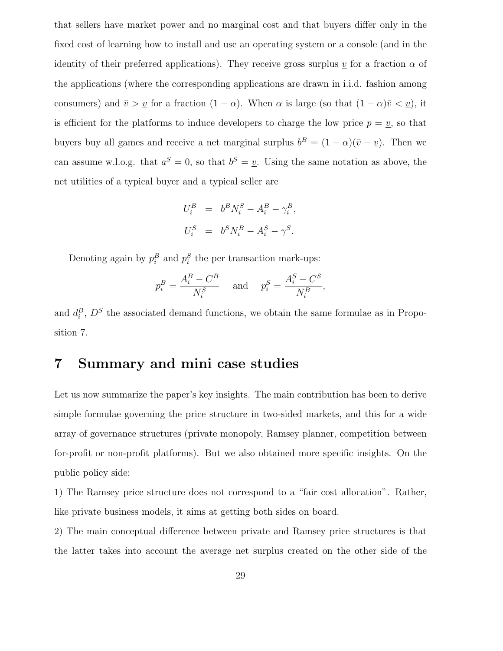that sellers have market power and no marginal cost and that buyers differ only in the fixed cost of learning how to install and use an operating system or a console (and in the identity of their preferred applications). They receive gross surplus v for a fraction  $\alpha$  of the applications (where the corresponding applications are drawn in i.i.d. fashion among consumers) and  $\bar{v} > v$  for a fraction  $(1 - \alpha)$ . When  $\alpha$  is large (so that  $(1 - \alpha)\bar{v} < v$ ), it is efficient for the platforms to induce developers to charge the low price  $p = v$ , so that buyers buy all games and receive a net marginal surplus  $b^B = (1 - \alpha)(\overline{v} - \underline{v})$ . Then we can assume w.l.o.g. that  $a^S = 0$ , so that  $b^S = \underline{v}$ . Using the same notation as above, the net utilities of a typical buyer and a typical seller are

$$
\begin{array}{rcl} U_i^B&=&b^BN_i^S-A_i^B-\gamma_i^B,\\[1ex] U_i^S&=&b^SN_i^B-A_i^S-\gamma^S. \end{array}
$$

Denoting again by  $p_i^B$  and  $p_i^S$  the per transaction mark-ups:

$$
p_i^B = \frac{A_i^B - C^B}{N_i^S} \quad \text{and} \quad p_i^S = \frac{A_i^S - C^S}{N_i^B}
$$

,

and  $d_i^B$ ,  $D^S$  the associated demand functions, we obtain the same formulae as in Proposition 7.

## **7 Summary and mini case studies**

Let us now summarize the paper's key insights. The main contribution has been to derive simple formulae governing the price structure in two-sided markets, and this for a wide array of governance structures (private monopoly, Ramsey planner, competition between for-profit or non-profit platforms). But we also obtained more specific insights. On the public policy side:

1) The Ramsey price structure does not correspond to a "fair cost allocation". Rather, like private business models, it aims at getting both sides on board.

2) The main conceptual difference between private and Ramsey price structures is that the latter takes into account the average net surplus created on the other side of the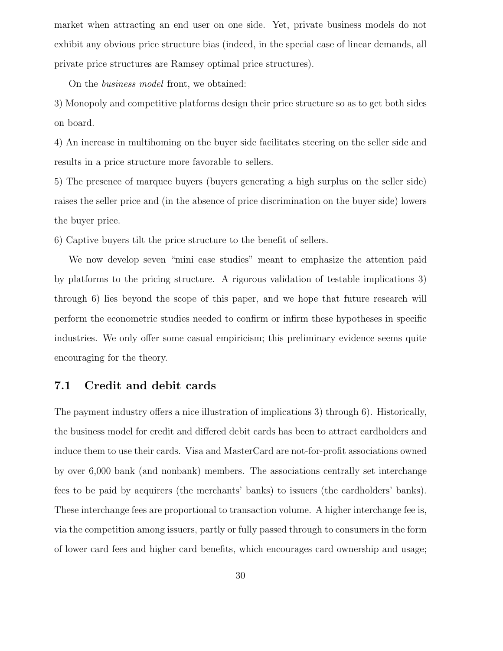market when attracting an end user on one side. Yet, private business models do not exhibit any obvious price structure bias (indeed, in the special case of linear demands, all private price structures are Ramsey optimal price structures).

On the business model front, we obtained:

3) Monopoly and competitive platforms design their price structure so as to get both sides on board.

4) An increase in multihoming on the buyer side facilitates steering on the seller side and results in a price structure more favorable to sellers.

5) The presence of marquee buyers (buyers generating a high surplus on the seller side) raises the seller price and (in the absence of price discrimination on the buyer side) lowers the buyer price.

6) Captive buyers tilt the price structure to the benefit of sellers.

We now develop seven "mini case studies" meant to emphasize the attention paid by platforms to the pricing structure. A rigorous validation of testable implications 3) through 6) lies beyond the scope of this paper, and we hope that future research will perform the econometric studies needed to confirm or infirm these hypotheses in specific industries. We only offer some casual empiricism; this preliminary evidence seems quite encouraging for the theory.

### **7.1 Credit and debit cards**

The payment industry offers a nice illustration of implications 3) through 6). Historically, the business model for credit and differed debit cards has been to attract cardholders and induce them to use their cards. Visa and MasterCard are not-for-profit associations owned by over 6,000 bank (and nonbank) members. The associations centrally set interchange fees to be paid by acquirers (the merchants' banks) to issuers (the cardholders' banks). These interchange fees are proportional to transaction volume. A higher interchange fee is, via the competition among issuers, partly or fully passed through to consumers in the form of lower card fees and higher card benefits, which encourages card ownership and usage;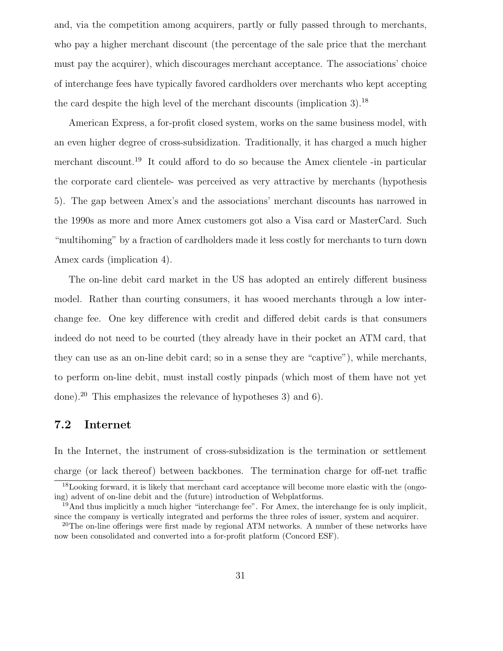and, via the competition among acquirers, partly or fully passed through to merchants, who pay a higher merchant discount (the percentage of the sale price that the merchant must pay the acquirer), which discourages merchant acceptance. The associations' choice of interchange fees have typically favored cardholders over merchants who kept accepting the card despite the high level of the merchant discounts (implication 3).<sup>18</sup>

American Express, a for-profit closed system, works on the same business model, with an even higher degree of cross-subsidization. Traditionally, it has charged a much higher merchant discount.<sup>19</sup> It could afford to do so because the Amex clientele -in particular the corporate card clientele- was perceived as very attractive by merchants (hypothesis 5). The gap between Amex's and the associations' merchant discounts has narrowed in the 1990s as more and more Amex customers got also a Visa card or MasterCard. Such "multihoming" by a fraction of cardholders made it less costly for merchants to turn down Amex cards (implication 4).

The on-line debit card market in the US has adopted an entirely different business model. Rather than courting consumers, it has wooed merchants through a low interchange fee. One key difference with credit and differed debit cards is that consumers indeed do not need to be courted (they already have in their pocket an ATM card, that they can use as an on-line debit card; so in a sense they are "captive"), while merchants, to perform on-line debit, must install costly pinpads (which most of them have not yet done).<sup>20</sup> This emphasizes the relevance of hypotheses 3) and 6).

#### **7.2 Internet**

In the Internet, the instrument of cross-subsidization is the termination or settlement charge (or lack thereof) between backbones. The termination charge for off-net traffic

<sup>&</sup>lt;sup>18</sup>Looking forward, it is likely that merchant card acceptance will become more elastic with the (ongoing) advent of on-line debit and the (future) introduction of Webplatforms.

<sup>19</sup>And thus implicitly a much higher "interchange fee". For Amex, the interchange fee is only implicit, since the company is vertically integrated and performs the three roles of issuer, system and acquirer.

<sup>&</sup>lt;sup>20</sup>The on-line offerings were first made by regional ATM networks. A number of these networks have now been consolidated and converted into a for-profit platform (Concord ESF).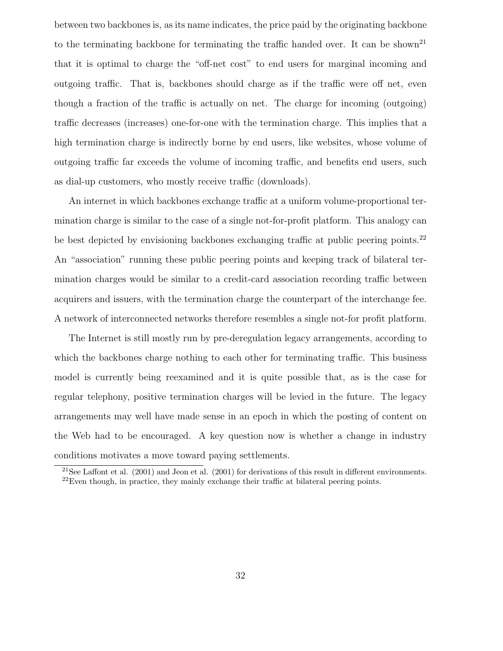between two backbones is, as its name indicates, the price paid by the originating backbone to the terminating backbone for terminating the traffic handed over. It can be shown<sup>21</sup> that it is optimal to charge the "off-net cost" to end users for marginal incoming and outgoing traffic. That is, backbones should charge as if the traffic were off net, even though a fraction of the traffic is actually on net. The charge for incoming (outgoing) traffic decreases (increases) one-for-one with the termination charge. This implies that a high termination charge is indirectly borne by end users, like websites, whose volume of outgoing traffic far exceeds the volume of incoming traffic, and benefits end users, such as dial-up customers, who mostly receive traffic (downloads).

An internet in which backbones exchange traffic at a uniform volume-proportional termination charge is similar to the case of a single not-for-profit platform. This analogy can be best depicted by envisioning backbones exchanging traffic at public peering points.<sup>22</sup> An "association" running these public peering points and keeping track of bilateral termination charges would be similar to a credit-card association recording traffic between acquirers and issuers, with the termination charge the counterpart of the interchange fee. A network of interconnected networks therefore resembles a single not-for profit platform.

The Internet is still mostly run by pre-deregulation legacy arrangements, according to which the backbones charge nothing to each other for terminating traffic. This business model is currently being reexamined and it is quite possible that, as is the case for regular telephony, positive termination charges will be levied in the future. The legacy arrangements may well have made sense in an epoch in which the posting of content on the Web had to be encouraged. A key question now is whether a change in industry conditions motivates a move toward paying settlements.

<sup>&</sup>lt;sup>21</sup>See Laffont et al.  $(2001)$  and Jeon et al.  $(2001)$  for derivations of this result in different environments.

 $^{22}$ Even though, in practice, they mainly exchange their traffic at bilateral peering points.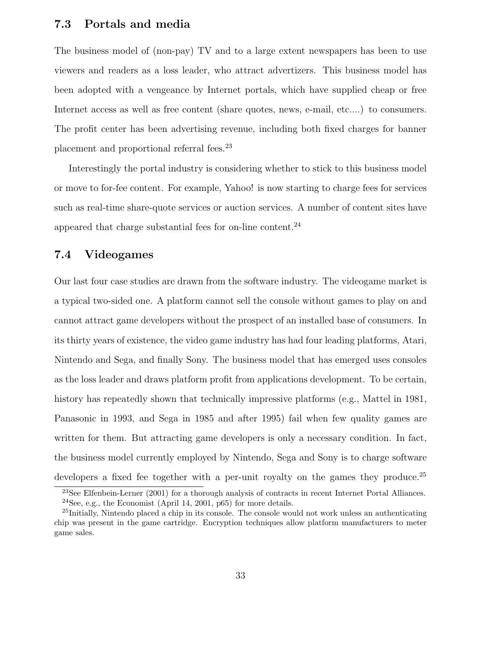### **7.3 Portals and media**

The business model of (non-pay) TV and to a large extent newspapers has been to use viewers and readers as a loss leader, who attract advertizers. This business model has been adopted with a vengeance by Internet portals, which have supplied cheap or free Internet access as well as free content (share quotes, news, e-mail, etc....) to consumers. The profit center has been advertising revenue, including both fixed charges for banner placement and proportional referral fees.<sup>23</sup>

Interestingly the portal industry is considering whether to stick to this business model or move to for-fee content. For example, Yahoo! is now starting to charge fees for services such as real-time share-quote services or auction services. A number of content sites have appeared that charge substantial fees for on-line content.<sup>24</sup>

### **7.4 Videogames**

Our last four case studies are drawn from the software industry. The videogame market is a typical two-sided one. A platform cannot sell the console without games to play on and cannot attract game developers without the prospect of an installed base of consumers. In its thirty years of existence, the video game industry has had four leading platforms, Atari, Nintendo and Sega, and finally Sony. The business model that has emerged uses consoles as the loss leader and draws platform profit from applications development. To be certain, history has repeatedly shown that technically impressive platforms (e.g., Mattel in 1981, Panasonic in 1993, and Sega in 1985 and after 1995) fail when few quality games are written for them. But attracting game developers is only a necessary condition. In fact, the business model currently employed by Nintendo, Sega and Sony is to charge software developers a fixed fee together with a per-unit royalty on the games they produce.<sup>25</sup>

<sup>23</sup>See Elfenbein-Lerner (2001) for a thorough analysis of contracts in recent Internet Portal Alliances.  $24$ See, e.g., the Economist (April 14, 2001, p65) for more details.

<sup>&</sup>lt;sup>25</sup>Initially, Nintendo placed a chip in its console. The console would not work unless an authenticating chip was present in the game cartridge. Encryption techniques allow platform manufacturers to meter game sales.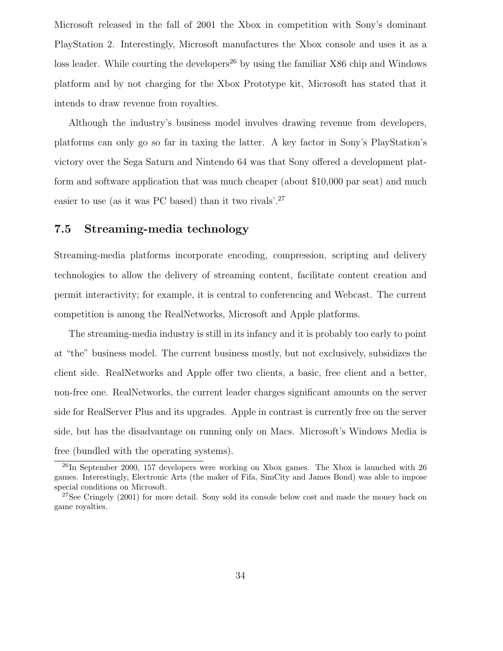Microsoft released in the fall of 2001 the Xbox in competition with Sony's dominant PlayStation 2. Interestingly, Microsoft manufactures the Xbox console and uses it as a loss leader. While courting the developers<sup>26</sup> by using the familiar  $X86$  chip and Windows platform and by not charging for the Xbox Prototype kit, Microsoft has stated that it intends to draw revenue from royalties.

Although the industry's business model involves drawing revenue from developers, platforms can only go so far in taxing the latter. A key factor in Sony's PlayStation's victory over the Sega Saturn and Nintendo 64 was that Sony offered a development platform and software application that was much cheaper (about \$10,000 par seat) and much easier to use (as it was PC based) than it two rivals'.<sup>27</sup>

### **7.5 Streaming-media technology**

Streaming-media platforms incorporate encoding, compression, scripting and delivery technologies to allow the delivery of streaming content, facilitate content creation and permit interactivity; for example, it is central to conferencing and Webcast. The current competition is among the RealNetworks, Microsoft and Apple platforms.

The streaming-media industry is still in its infancy and it is probably too early to point at "the" business model. The current business mostly, but not exclusively, subsidizes the client side. RealNetworks and Apple offer two clients, a basic, free client and a better, non-free one. RealNetworks, the current leader charges significant amounts on the server side for RealServer Plus and its upgrades. Apple in contrast is currently free on the server side, but has the disadvantage on running only on Macs. Microsoft's Windows Media is free (bundled with the operating systems).

<sup>&</sup>lt;sup>26</sup>In September 2000, 157 developers were working on Xbox games. The Xbox is launched with 26 games. Interestingly, Electronic Arts (the maker of Fifa, SimCity and James Bond) was able to impose special conditions on Microsoft.

<sup>&</sup>lt;sup>27</sup>See Cringely (2001) for more detail. Sony sold its console below cost and made the money back on game royalties.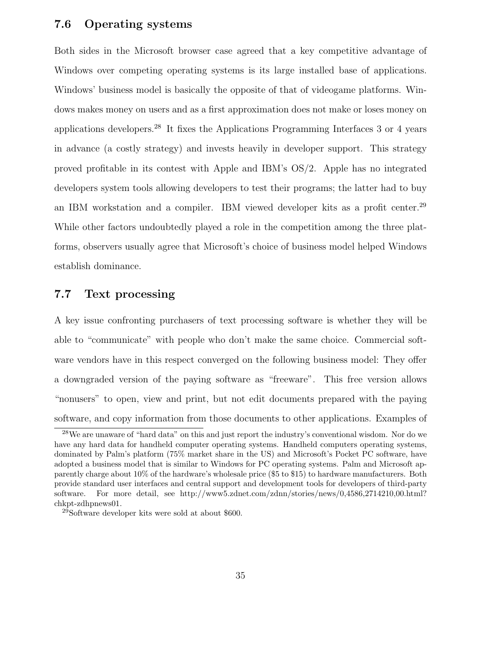### **7.6 Operating systems**

Both sides in the Microsoft browser case agreed that a key competitive advantage of Windows over competing operating systems is its large installed base of applications. Windows' business model is basically the opposite of that of videogame platforms. Windows makes money on users and as a first approximation does not make or loses money on applications developers.<sup>28</sup> It fixes the Applications Programming Interfaces 3 or 4 years in advance (a costly strategy) and invests heavily in developer support. This strategy proved profitable in its contest with Apple and IBM's OS/2. Apple has no integrated developers system tools allowing developers to test their programs; the latter had to buy an IBM workstation and a compiler. IBM viewed developer kits as a profit center.<sup>29</sup> While other factors undoubtedly played a role in the competition among the three platforms, observers usually agree that Microsoft's choice of business model helped Windows establish dominance.

### **7.7 Text processing**

A key issue confronting purchasers of text processing software is whether they will be able to "communicate" with people who don't make the same choice. Commercial software vendors have in this respect converged on the following business model: They offer a downgraded version of the paying software as "freeware". This free version allows "nonusers" to open, view and print, but not edit documents prepared with the paying software, and copy information from those documents to other applications. Examples of

<sup>&</sup>lt;sup>28</sup>We are unaware of "hard data" on this and just report the industry's conventional wisdom. Nor do we have any hard data for handheld computer operating systems. Handheld computers operating systems, dominated by Palm's platform (75% market share in the US) and Microsoft's Pocket PC software, have adopted a business model that is similar to Windows for PC operating systems. Palm and Microsoft apparently charge about 10% of the hardware's wholesale price (\$5 to \$15) to hardware manufacturers. Both provide standard user interfaces and central support and development tools for developers of third-party software. For more detail, see http://www5.zdnet.com/zdnn/stories/news/0,4586,2714210,00.html? chkpt-zdhpnews01.

<sup>29</sup>Software developer kits were sold at about \$600.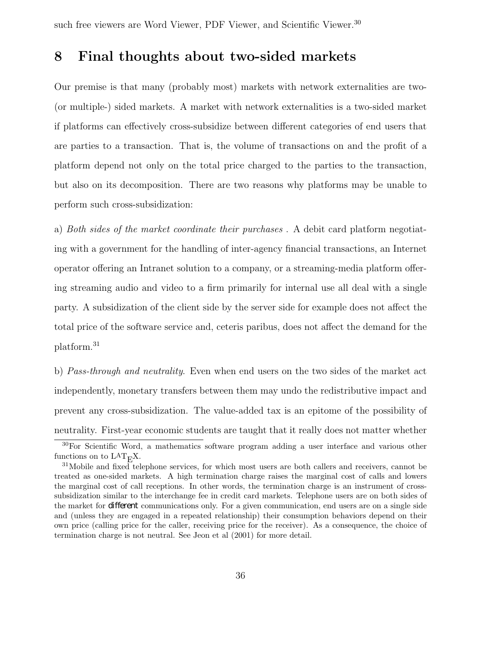### **8 Final thoughts about two-sided markets**

Our premise is that many (probably most) markets with network externalities are two- (or multiple-) sided markets. A market with network externalities is a two-sided market if platforms can effectively cross-subsidize between different categories of end users that are parties to a transaction. That is, the volume of transactions on and the profit of a platform depend not only on the total price charged to the parties to the transaction, but also on its decomposition. There are two reasons why platforms may be unable to perform such cross-subsidization:

a) Both sides of the market coordinate their purchases . A debit card platform negotiating with a government for the handling of inter-agency financial transactions, an Internet operator offering an Intranet solution to a company, or a streaming-media platform offering streaming audio and video to a firm primarily for internal use all deal with a single party. A subsidization of the client side by the server side for example does not affect the total price of the software service and, ceteris paribus, does not affect the demand for the platform.<sup>31</sup>

b) Pass-through and neutrality. Even when end users on the two sides of the market act independently, monetary transfers between them may undo the redistributive impact and prevent any cross-subsidization. The value-added tax is an epitome of the possibility of neutrality. First-year economic students are taught that it really does not matter whether

<sup>30</sup>For Scientific Word, a mathematics software program adding a user interface and various other functions on to  $LAT$ <sub>E</sub>X.

<sup>&</sup>lt;sup>31</sup>Mobile and fixed telephone services, for which most users are both callers and receivers, cannot be treated as one-sided markets. A high termination charge raises the marginal cost of calls and lowers the marginal cost of call receptions. In other words, the termination charge is an instrument of crosssubsidization similar to the interchange fee in credit card markets. Telephone users are on both sides of the market for *di®erent* communications only. For a given communication, end users are on a single side and (unless they are engaged in a repeated relationship) their consumption behaviors depend on their own price (calling price for the caller, receiving price for the receiver). As a consequence, the choice of termination charge is not neutral. See Jeon et al (2001) for more detail.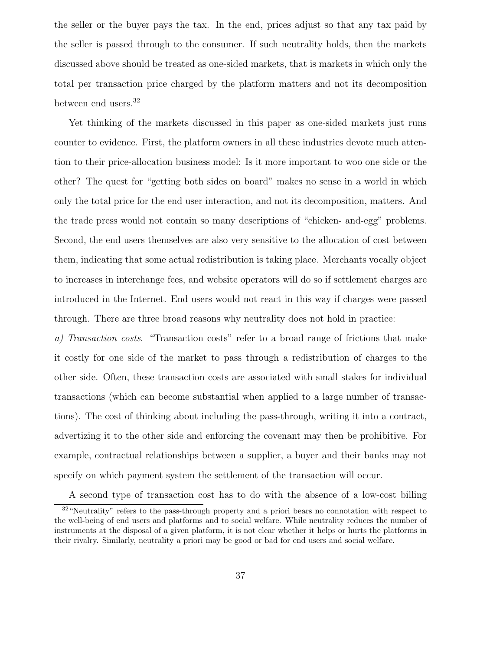the seller or the buyer pays the tax. In the end, prices adjust so that any tax paid by the seller is passed through to the consumer. If such neutrality holds, then the markets discussed above should be treated as one-sided markets, that is markets in which only the total per transaction price charged by the platform matters and not its decomposition between end users.<sup>32</sup>

Yet thinking of the markets discussed in this paper as one-sided markets just runs counter to evidence. First, the platform owners in all these industries devote much attention to their price-allocation business model: Is it more important to woo one side or the other? The quest for "getting both sides on board" makes no sense in a world in which only the total price for the end user interaction, and not its decomposition, matters. And the trade press would not contain so many descriptions of "chicken- and-egg" problems. Second, the end users themselves are also very sensitive to the allocation of cost between them, indicating that some actual redistribution is taking place. Merchants vocally object to increases in interchange fees, and website operators will do so if settlement charges are introduced in the Internet. End users would not react in this way if charges were passed through. There are three broad reasons why neutrality does not hold in practice:

a) Transaction costs. "Transaction costs" refer to a broad range of frictions that make it costly for one side of the market to pass through a redistribution of charges to the other side. Often, these transaction costs are associated with small stakes for individual transactions (which can become substantial when applied to a large number of transactions). The cost of thinking about including the pass-through, writing it into a contract, advertizing it to the other side and enforcing the covenant may then be prohibitive. For example, contractual relationships between a supplier, a buyer and their banks may not specify on which payment system the settlement of the transaction will occur.

A second type of transaction cost has to do with the absence of a low-cost billing

<sup>&</sup>lt;sup>32</sup> "Neutrality" refers to the pass-through property and a priori bears no connotation with respect to the well-being of end users and platforms and to social welfare. While neutrality reduces the number of instruments at the disposal of a given platform, it is not clear whether it helps or hurts the platforms in their rivalry. Similarly, neutrality a priori may be good or bad for end users and social welfare.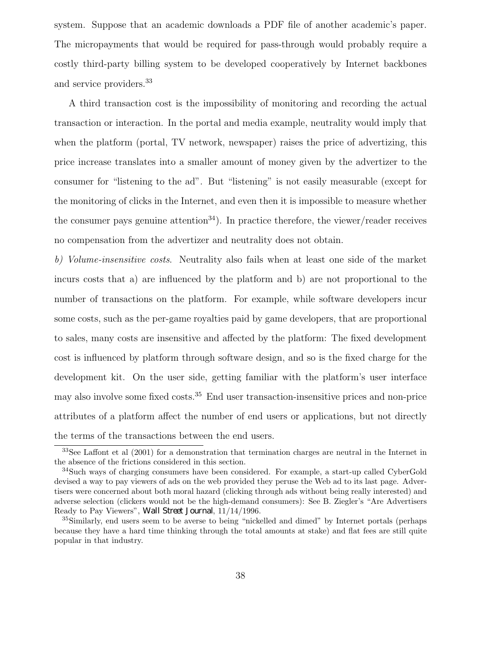system. Suppose that an academic downloads a PDF file of another academic's paper. The micropayments that would be required for pass-through would probably require a costly third-party billing system to be developed cooperatively by Internet backbones and service providers.<sup>33</sup>

A third transaction cost is the impossibility of monitoring and recording the actual transaction or interaction. In the portal and media example, neutrality would imply that when the platform (portal, TV network, newspaper) raises the price of advertizing, this price increase translates into a smaller amount of money given by the advertizer to the consumer for "listening to the ad". But "listening" is not easily measurable (except for the monitoring of clicks in the Internet, and even then it is impossible to measure whether the consumer pays genuine attention<sup>34</sup>). In practice therefore, the viewer/reader receives no compensation from the advertizer and neutrality does not obtain.

b) Volume-insensitive costs. Neutrality also fails when at least one side of the market incurs costs that a) are influenced by the platform and b) are not proportional to the number of transactions on the platform. For example, while software developers incur some costs, such as the per-game royalties paid by game developers, that are proportional to sales, many costs are insensitive and affected by the platform: The fixed development cost is influenced by platform through software design, and so is the fixed charge for the development kit. On the user side, getting familiar with the platform's user interface may also involve some fixed costs.<sup>35</sup> End user transaction-insensitive prices and non-price attributes of a platform affect the number of end users or applications, but not directly the terms of the transactions between the end users.

<sup>33</sup>See Laffont et al (2001) for a demonstration that termination charges are neutral in the Internet in the absence of the frictions considered in this section.

<sup>34</sup>Such ways of charging consumers have been considered. For example, a start-up called CyberGold devised a way to pay viewers of ads on the web provided they peruse the Web ad to its last page. Advertisers were concerned about both moral hazard (clicking through ads without being really interested) and adverse selection (clickers would not be the high-demand consumers): See B. Ziegler's "Are Advertisers Ready to Pay Viewers", *Wall Street Journal*, 11/14/1996.

<sup>&</sup>lt;sup>35</sup>Similarly, end users seem to be averse to being "nickelled and dimed" by Internet portals (perhaps because they have a hard time thinking through the total amounts at stake) and flat fees are still quite popular in that industry.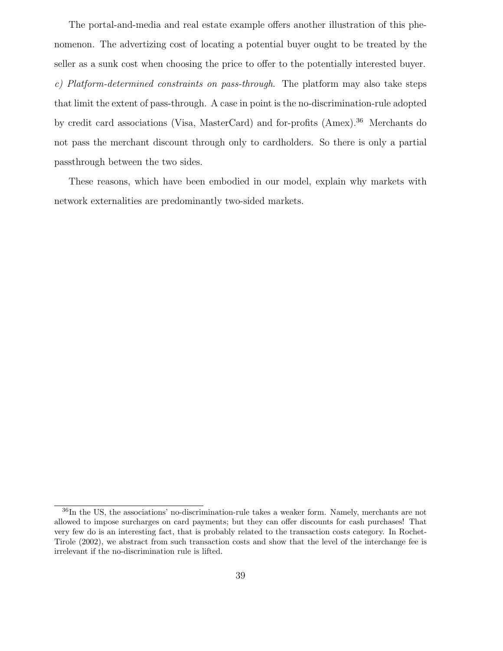The portal-and-media and real estate example offers another illustration of this phenomenon. The advertizing cost of locating a potential buyer ought to be treated by the seller as a sunk cost when choosing the price to offer to the potentially interested buyer. c) Platform-determined constraints on pass-through. The platform may also take steps that limit the extent of pass-through. A case in point is the no-discrimination-rule adopted by credit card associations (Visa, MasterCard) and for-profits (Amex).<sup>36</sup> Merchants do not pass the merchant discount through only to cardholders. So there is only a partial passthrough between the two sides.

These reasons, which have been embodied in our model, explain why markets with network externalities are predominantly two-sided markets.

<sup>36</sup>In the US, the associations' no-discrimination-rule takes a weaker form. Namely, merchants are not allowed to impose surcharges on card payments; but they can offer discounts for cash purchases! That very few do is an interesting fact, that is probably related to the transaction costs category. In Rochet-Tirole (2002), we abstract from such transaction costs and show that the level of the interchange fee is irrelevant if the no-discrimination rule is lifted.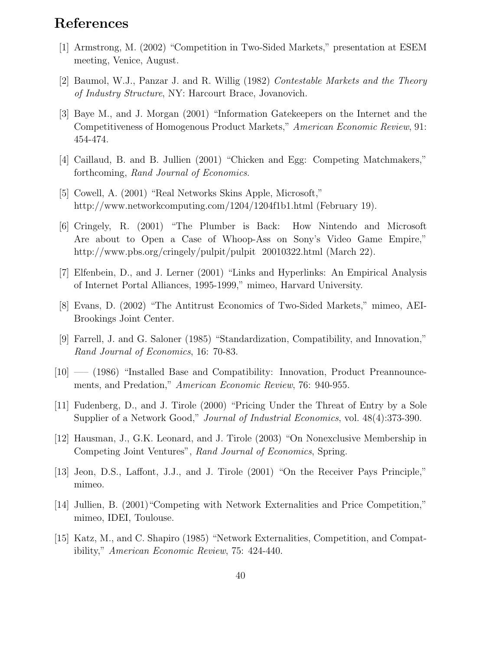## **References**

- [1] Armstrong, M. (2002) "Competition in Two-Sided Markets," presentation at ESEM meeting, Venice, August.
- [2] Baumol, W.J., Panzar J. and R. Willig (1982) Contestable Markets and the Theory of Industry Structure, NY: Harcourt Brace, Jovanovich.
- [3] Baye M., and J. Morgan (2001) "Information Gatekeepers on the Internet and the Competitiveness of Homogenous Product Markets," American Economic Review, 91: 454-474.
- [4] Caillaud, B. and B. Jullien (2001) "Chicken and Egg: Competing Matchmakers," forthcoming, Rand Journal of Economics.
- [5] Cowell, A. (2001) "Real Networks Skins Apple, Microsoft," http://www.networkcomputing.com/1204/1204f1b1.html (February 19).
- [6] Cringely, R. (2001) "The Plumber is Back: How Nintendo and Microsoft Are about to Open a Case of Whoop-Ass on Sony's Video Game Empire," http://www.pbs.org/cringely/pulpit/pulpit 20010322.html (March 22).
- [7] Elfenbein, D., and J. Lerner (2001) "Links and Hyperlinks: An Empirical Analysis of Internet Portal Alliances, 1995-1999," mimeo, Harvard University.
- [8] Evans, D. (2002) "The Antitrust Economics of Two-Sided Markets," mimeo, AEI-Brookings Joint Center.
- [9] Farrell, J. and G. Saloner (1985) "Standardization, Compatibility, and Innovation," Rand Journal of Economics, 16: 70-83.
- [10] —– (1986) "Installed Base and Compatibility: Innovation, Product Preannouncements, and Predation," American Economic Review, 76: 940-955.
- [11] Fudenberg, D., and J. Tirole (2000) "Pricing Under the Threat of Entry by a Sole Supplier of a Network Good," Journal of Industrial Economics, vol. 48(4):373-390.
- [12] Hausman, J., G.K. Leonard, and J. Tirole (2003) "On Nonexclusive Membership in Competing Joint Ventures", Rand Journal of Economics, Spring.
- [13] Jeon, D.S., Laffont, J.J., and J. Tirole (2001) "On the Receiver Pays Principle," mimeo.
- [14] Jullien, B. (2001)"Competing with Network Externalities and Price Competition," mimeo, IDEI, Toulouse.
- [15] Katz, M., and C. Shapiro (1985) "Network Externalities, Competition, and Compatibility," American Economic Review, 75: 424-440.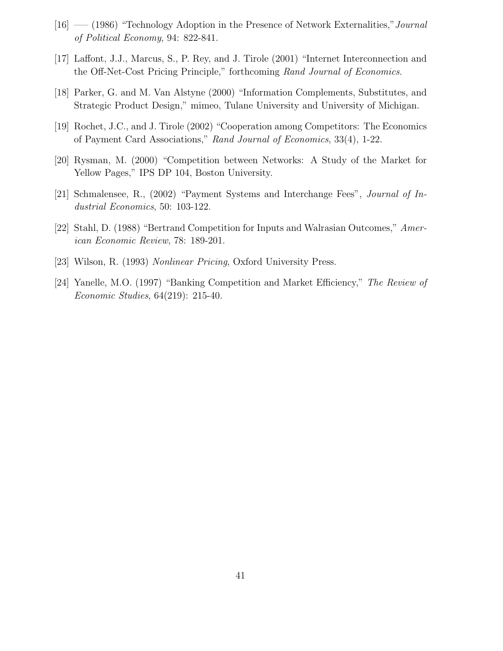- [16] —– (1986) "Technology Adoption in the Presence of Network Externalities," Journal of Political Economy, 94: 822-841.
- [17] Laffont, J.J., Marcus, S., P. Rey, and J. Tirole (2001) "Internet Interconnection and the Off-Net-Cost Pricing Principle," forthcoming Rand Journal of Economics.
- [18] Parker, G. and M. Van Alstyne (2000) "Information Complements, Substitutes, and Strategic Product Design," mimeo, Tulane University and University of Michigan.
- [19] Rochet, J.C., and J. Tirole (2002) "Cooperation among Competitors: The Economics of Payment Card Associations," Rand Journal of Economics, 33(4), 1-22.
- [20] Rysman, M. (2000) "Competition between Networks: A Study of the Market for Yellow Pages," IPS DP 104, Boston University.
- [21] Schmalensee, R., (2002) "Payment Systems and Interchange Fees", Journal of Industrial Economics, 50: 103-122.
- [22] Stahl, D. (1988) "Bertrand Competition for Inputs and Walrasian Outcomes," American Economic Review, 78: 189-201.
- [23] Wilson, R. (1993) Nonlinear Pricing, Oxford University Press.
- [24] Yanelle, M.O. (1997) "Banking Competition and Market Efficiency," The Review of Economic Studies, 64(219): 215-40.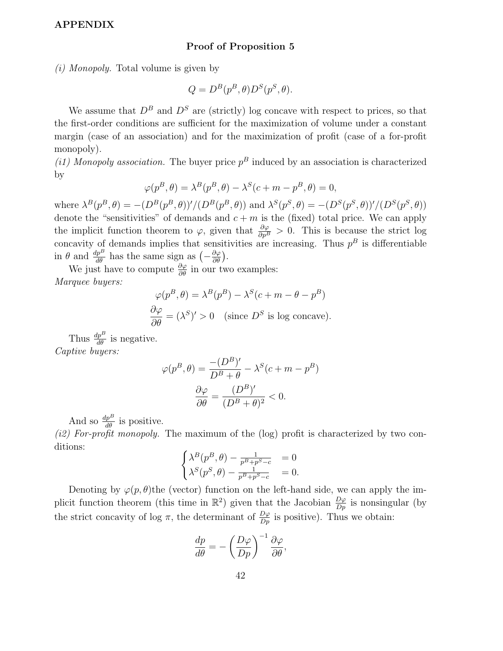#### **APPENDIX**

#### **Proof of Proposition 5**

(i) Monopoly. Total volume is given by

$$
Q = D^{B}(p^{B}, \theta)D^{S}(p^{S}, \theta).
$$

We assume that  $D^B$  and  $D^S$  are (strictly) log concave with respect to prices, so that the first-order conditions are sufficient for the maximization of volume under a constant margin (case of an association) and for the maximization of profit (case of a for-profit monopoly).

(i1) Monopoly association. The buyer price  $p^B$  induced by an association is characterized by

$$
\varphi(p^B, \theta) = \lambda^B(p^B, \theta) - \lambda^S(c + m - p^B, \theta) = 0,
$$

where  $\lambda^{B}(p^{B}, \theta) = -(D^{B}(p^{B}, \theta))'/(D^{B}(p^{B}, \theta))$  and  $\lambda^{S}(p^{S}, \theta) = -(D^{S}(p^{S}, \theta))'/(D^{S}(p^{S}, \theta))$ denote the "sensitivities" of demands and  $c + m$  is the (fixed) total price. We can apply the implicit function theorem to  $\varphi$ , given that  $\frac{\partial \varphi}{\partial p^B} > 0$ . This is because the strict log concavity of demands implies that sensitivities are increasing. Thus  $p^B$  is differentiable in  $\theta$  and  $\frac{dp^B}{d\theta}$  has the same sign as  $\left(-\frac{\partial \varphi}{\partial \theta}\right)$ .

We just have to compute  $\frac{\partial \varphi}{\partial \theta}$  in our two examples: Marquee buyers:

$$
\varphi(p^B, \theta) = \lambda^B(p^B) - \lambda^S(c + m - \theta - p^B)
$$
  

$$
\frac{\partial \varphi}{\partial \theta} = (\lambda^S)' > 0 \quad \text{(since } D^S \text{ is log concave)}.
$$

Thus  $\frac{dp^B}{d\theta}$  is negative. Captive buyers:

$$
\varphi(p^B, \theta) = \frac{-(D^B)'}{D^B + \theta} - \lambda^S (c + m - p^B)
$$

$$
\frac{\partial \varphi}{\partial \theta} = \frac{(D^B)'}{(D^B + \theta)^2} < 0.
$$

And so  $\frac{dp^B}{d\theta}$  is positive.

(i2) For-profit monopoly. The maximum of the  $(log)$  profit is characterized by two conditions:

$$
\begin{cases}\n\lambda^{B}(p^{B}, \theta) - \frac{1}{p^{B} + p^{S} - c} = 0 \\
\lambda^{S}(p^{S}, \theta) - \frac{1}{p^{B} + p^{S} - c} = 0.\n\end{cases}
$$

Denoting by  $\varphi(p,\theta)$  the (vector) function on the left-hand side, we can apply the implicit function theorem (this time in  $\mathbb{R}^2$ ) given that the Jacobian  $\frac{D\varphi}{Dp}$  is nonsingular (by the strict concavity of log  $\pi$ , the determinant of  $\frac{D\varphi}{Dp}$  is positive). Thus we obtain:

$$
\frac{dp}{d\theta} = -\left(\frac{D\varphi}{Dp}\right)^{-1} \frac{\partial\varphi}{\partial\theta},
$$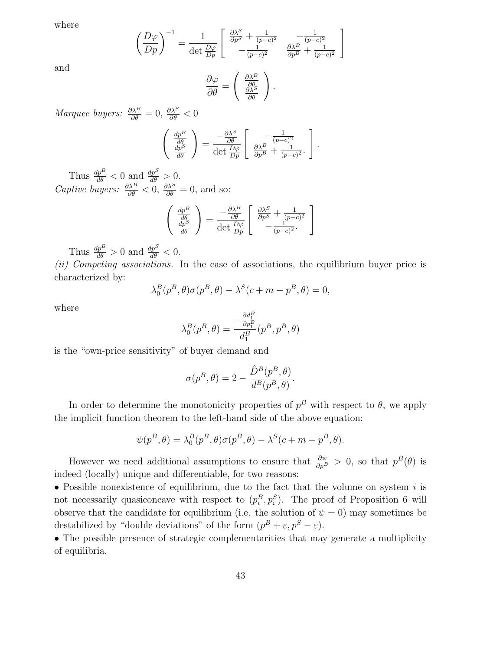where

and

$$
\left(\frac{D\varphi}{Dp}\right)^{-1} = \frac{1}{\det\frac{D\varphi}{Dp}} \begin{bmatrix} \frac{\partial\lambda^S}{\partial p^S} + \frac{1}{(p-c)^2} & -\frac{1}{(p-c)^2} \\ -\frac{1}{(p-c)^2} & \frac{\partial\lambda^B}{\partial p^B} + \frac{1}{(p-c)^2} \end{bmatrix}
$$

$$
\frac{\partial\varphi}{\partial\theta} = \begin{pmatrix} \frac{\partial\lambda^B}{\partial\theta} \\ \frac{\partial\lambda^S}{\partial\theta} \end{pmatrix}.
$$

*Marquee buyers:*  $\frac{\partial \lambda^B}{\partial \theta} = 0$ ,  $\frac{\partial \lambda^S}{\partial \theta} < 0$ 

$$
\begin{pmatrix}\n\frac{dp^B}{d\theta} \\
\frac{dp^S}{d\theta}\n\end{pmatrix} = \frac{-\frac{\partial \lambda^S}{\partial \theta}}{\det \frac{D\varphi}{Dp}} \begin{bmatrix}\n-\frac{1}{(p-c)^2} \\
\frac{\partial \lambda^B}{\partial p^B} + \frac{1}{(p-c)^2}.\n\end{bmatrix}.
$$

Thus  $\frac{dp^B}{d\theta} < 0$  and  $\frac{dp^S}{d\theta} > 0$ . *Captive buyers:*  $\frac{\partial \lambda^B}{\partial \theta} < 0$ ,  $\frac{\partial \lambda^S}{\partial \theta} = 0$ , and so:

$$
\begin{pmatrix}\n\frac{dp^B}{d\theta} \\
\frac{dp^S}{d\theta}\n\end{pmatrix} = \frac{-\frac{\partial \lambda^B}{\partial \theta}}{\det \frac{D\varphi}{Dp}} \begin{bmatrix}\n\frac{\partial \lambda^S}{\partial p^S} + \frac{1}{(p-c)^2} \\
-\frac{1}{(p-c)^2}\n\end{bmatrix}
$$

Thus  $\frac{dp^B}{d\theta} > 0$  and  $\frac{dp^S}{d\theta} < 0$ .

(ii) Competing associations. In the case of associations, the equilibrium buyer price is characterized by:

$$
\lambda_0^B(p^B, \theta)\sigma(p^B, \theta) - \lambda^S(c+m-p^B, \theta) = 0,
$$

where

$$
\lambda_0^B(p^B, \theta) = \frac{-\frac{\partial d_1^B}{\partial p_1^B}}{d_1^B}(p^B, p^B, \theta)
$$

is the "own-price sensitivity" of buyer demand and

$$
\sigma(p^B, \theta) = 2 - \frac{\hat{D}^B(p^B, \theta)}{d^B(p^B, \theta)}.
$$

In order to determine the monotonicity properties of  $p^B$  with respect to  $\theta$ , we apply the implicit function theorem to the left-hand side of the above equation:

$$
\psi(p^B, \theta) = \lambda_0^B(p^B, \theta)\sigma(p^B, \theta) - \lambda^S(c + m - p^B, \theta).
$$

However we need additional assumptions to ensure that  $\frac{\partial \psi}{\partial p^B} > 0$ , so that  $p^B(\theta)$  is indeed (locally) unique and differentiable, for two reasons:

• Possible nonexistence of equilibrium, due to the fact that the volume on system  $i$  is not necessarily quasiconcave with respect to  $(p_i^B, p_i^S)$ . The proof of Proposition 6 will observe that the candidate for equilibrium (i.e. the solution of  $\psi = 0$ ) may sometimes be destabilized by "double deviations" of the form  $(p^B + \varepsilon, p^S - \varepsilon)$ .

• The possible presence of strategic complementarities that may generate a multiplicity of equilibria.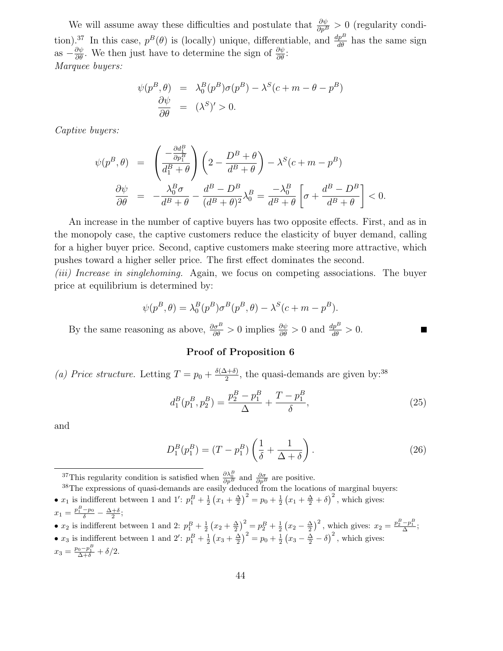We will assume away these difficulties and postulate that  $\frac{\partial \psi}{\partial p^B} > 0$  (regularity condition).<sup>37</sup> In this case,  $p^B(\theta)$  is (locally) unique, differentiable, and  $\frac{dp^B}{d\theta}$  has the same sign as  $-\frac{\partial \psi}{\partial \theta}$ . We then just have to determine the sign of  $\frac{\partial \psi}{\partial \theta}$ : Marquee buyers:

$$
\psi(p^B, \theta) = \lambda_0^B(p^B)\sigma(p^B) - \lambda^S(c + m - \theta - p^B)
$$
  

$$
\frac{\partial \psi}{\partial \theta} = (\lambda^S)' > 0.
$$

Captive buyers:

$$
\psi(p^B, \theta) = \left(\frac{-\frac{\partial d_1^B}{\partial p_1^B}}{d_1^B + \theta}\right) \left(2 - \frac{D^B + \theta}{d^B + \theta}\right) - \lambda^S(c + m - p^B)
$$

$$
\frac{\partial \psi}{\partial \theta} = -\frac{\lambda_0^B \sigma}{d^B + \theta} - \frac{d^B - D^B}{(d^B + \theta)^2} \lambda_0^B = \frac{-\lambda_0^B}{d^B + \theta} \left[\sigma + \frac{d^B - D^B}{d^B + \theta}\right] < 0.
$$

An increase in the number of captive buyers has two opposite effects. First, and as in the monopoly case, the captive customers reduce the elasticity of buyer demand, calling for a higher buyer price. Second, captive customers make steering more attractive, which pushes toward a higher seller price. The first effect dominates the second.

(iii) Increase in singlehoming. Again, we focus on competing associations. The buyer price at equilibrium is determined by:

$$
\psi(p^B, \theta) = \lambda_0^B(p^B)\sigma^B(p^B, \theta) - \lambda^S(c+m-p^B).
$$

By the same reasoning as above,  $\frac{\partial \sigma^B}{\partial \theta} > 0$  implies  $\frac{\partial \psi}{\partial \theta} > 0$  and  $\frac{dp^B}{d\theta} > 0$ .

#### **Proof of Proposition 6**

(a) Price structure. Letting  $T = p_0 + \frac{\delta(\Delta + \delta)}{2}$ , the quasi-demands are given by:<sup>38</sup>

$$
d_1^B(p_1^B, p_2^B) = \frac{p_2^B - p_1^B}{\Delta} + \frac{T - p_1^B}{\delta},\tag{25}
$$

and

$$
D_1^B(p_1^B) = (T - p_1^B) \left(\frac{1}{\delta} + \frac{1}{\Delta + \delta}\right).
$$
 (26)

<sup>37</sup>This regularity condition is satisfied when  $\frac{\partial \lambda_0^B}{\partial p^B}$  and  $\frac{\partial \sigma}{\partial p^B}$  are positive.

<sup>38</sup>The expressions of quasi-demands are easily deduced from the locations of marginal buyers: •  $x_1$  is indifferent between 1 and 1':  $p_1^B + \frac{1}{2}(x_1 + \frac{\Delta}{2})^2 = p_0 + \frac{1}{2}(x_1 + \frac{\Delta}{2} + \delta)^2$ , which gives:  $x_1 = \frac{p_1^B - p_0}{\delta} - \frac{\Delta + \delta}{2};$ 

•  $x_2$  is indifferent between 1 and 2:  $p_1^B + \frac{1}{2}(x_2 + \frac{\Delta}{2})^2 = p_2^B + \frac{1}{2}(x_2 - \frac{\Delta}{2})^2$ , which gives:  $x_2 = \frac{p_2^B - p_1^B}{\Delta}$ ; •  $x_3$  is indifferent between 1 and 2':  $p_1^B + \frac{1}{2}(x_3 + \frac{\Delta}{2})^2 = p_0 + \frac{1}{2}(x_3 - \frac{\Delta}{2} - \delta)^2$ , which gives:  $x_3 = \frac{p_0 - p_1^B}{\Delta + \delta} + \delta/2.$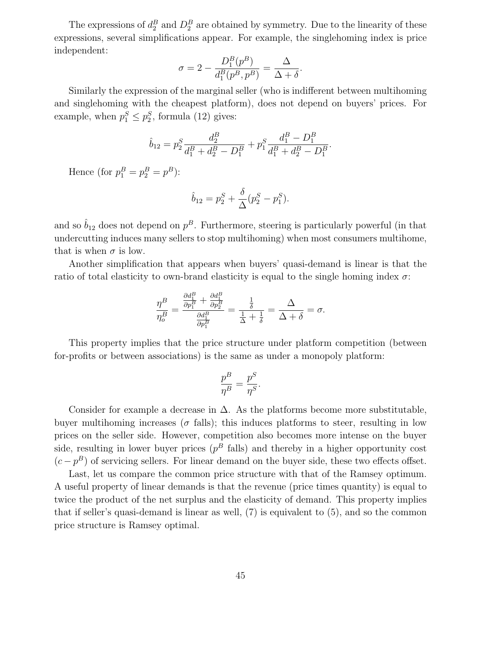The expressions of  $d_2^B$  and  $D_2^B$  are obtained by symmetry. Due to the linearity of these expressions, several simplifications appear. For example, the singlehoming index is price independent:

$$
\sigma = 2 - \frac{D_1^B(p^B)}{d_1^B(p^B, p^B)} = \frac{\Delta}{\Delta + \delta}.
$$

Similarly the expression of the marginal seller (who is indifferent between multihoming and singlehoming with the cheapest platform), does not depend on buyers' prices. For example, when  $p_1^S \leq p_2^S$ , formula (12) gives:

$$
\hat{b}_{12}=p_2^S\frac{d_2^B}{d_1^B+d_2^B-D_1^B}+p_1^S\frac{d_1^B-D_1^B}{d_1^B+d_2^B-D_1^B}.
$$

Hence (for  $p_1^B = p_2^B = p^B$ ):

$$
\hat{b}_{12} = p_2^S + \frac{\delta}{\Delta} (p_2^S - p_1^S).
$$

and so  $\hat{b}_{12}$  does not depend on  $p^B$ . Furthermore, steering is particularly powerful (in that undercutting induces many sellers to stop multihoming) when most consumers multihome, that is when  $\sigma$  is low.

Another simplification that appears when buyers' quasi-demand is linear is that the ratio of total elasticity to own-brand elasticity is equal to the single homing index  $\sigma$ .

$$
\frac{\eta^B}{\eta_o^B} = \frac{\frac{\partial d_1^B}{\partial p_1^B} + \frac{\partial d_1^B}{\partial p_2^B}}{\frac{\partial d_1^B}{\partial p_1^B}} = \frac{\frac{1}{\delta}}{\frac{1}{\Delta} + \frac{1}{\delta}} = \frac{\Delta}{\Delta + \delta} = \sigma.
$$

This property implies that the price structure under platform competition (between for-profits or between associations) is the same as under a monopoly platform:

$$
\frac{p^B}{\eta^B}=\frac{p^S}{\eta^S}.
$$

Consider for example a decrease in  $\Delta$ . As the platforms become more substitutable, buyer multihoming increases ( $\sigma$  falls); this induces platforms to steer, resulting in low prices on the seller side. However, competition also becomes more intense on the buyer side, resulting in lower buyer prices  $(p^B \text{ falls})$  and thereby in a higher opportunity cost  $(c - p<sup>B</sup>)$  of servicing sellers. For linear demand on the buyer side, these two effects offset.

Last, let us compare the common price structure with that of the Ramsey optimum. A useful property of linear demands is that the revenue (price times quantity) is equal to twice the product of the net surplus and the elasticity of demand. This property implies that if seller's quasi-demand is linear as well, (7) is equivalent to (5), and so the common price structure is Ramsey optimal.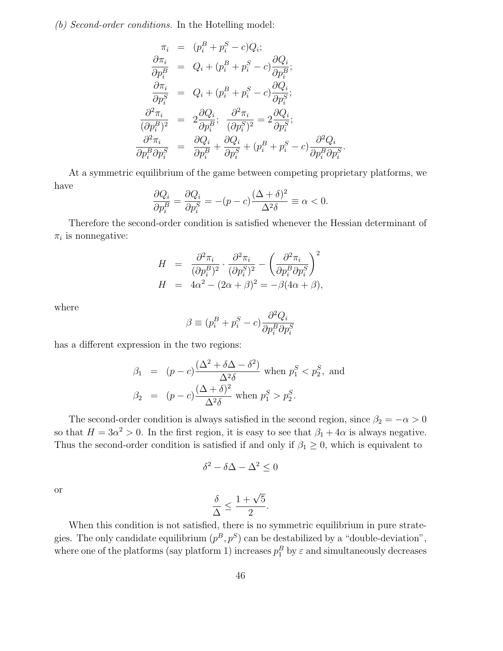(b) Second-order conditions. In the Hotelling model:

$$
\pi_i = (p_i^B + p_i^S - c)Q_i;
$$
\n
$$
\frac{\partial \pi_i}{\partial p_i^B} = Q_i + (p_i^B + p_i^S - c)\frac{\partial Q_i}{\partial p_i^B};
$$
\n
$$
\frac{\partial \pi_i}{\partial p_i^S} = Q_i + (p_i^B + p_i^S - c)\frac{\partial Q_i}{\partial p_i^S};
$$
\n
$$
\frac{\partial^2 \pi_i}{(\partial p_i^B)^2} = 2\frac{\partial Q_i}{\partial p_i^B};
$$
\n
$$
\frac{\partial^2 \pi_i}{\partial p_i^B \partial p_i^S} = \frac{\partial Q_i}{\partial p_i^B} + \frac{\partial Q_i}{\partial p_i^S} + (p_i^B + p_i^S - c)\frac{\partial^2 Q_i}{\partial p_i^B \partial p_i^S}
$$

At a symmetric equilibrium of the game between competing proprietary platforms, we have

.

$$
\frac{\partial Q_i}{\partial p_i^B} = \frac{\partial Q_i}{\partial p_i^S} = -(p-c)\frac{(\Delta + \delta)^2}{\Delta^2 \delta} \equiv \alpha < 0.
$$

Therefore the second-order condition is satisfied whenever the Hessian determinant of  $\pi_i$  is nonnegative:

$$
H = \frac{\partial^2 \pi_i}{(\partial p_i^B)^2} \cdot \frac{\partial^2 \pi_i}{(\partial p_i^S)^2} - \left(\frac{\partial^2 \pi_i}{\partial p_i^B \partial p_i^S}\right)^2
$$
  

$$
H = 4\alpha^2 - (2\alpha + \beta)^2 = -\beta(4\alpha + \beta),
$$

where

$$
\beta \equiv (p_i^B + p_i^S - c) \frac{\partial^2 Q_i}{\partial p_i^B \partial p_i^S}
$$

has a different expression in the two regions:

$$
\beta_1 = (p-c)\frac{(\Delta^2 + \delta \Delta - \delta^2)}{\Delta^2 \delta} \text{ when } p_1^S < p_2^S, \text{ and}
$$
\n
$$
\beta_2 = (p-c)\frac{(\Delta + \delta)^2}{\Delta^2 \delta} \text{ when } p_1^S > p_2^S.
$$

The second-order condition is always satisfied in the second region, since  $\beta_2 = -\alpha > 0$ so that  $H = 3\alpha^2 > 0$ . In the first region, it is easy to see that  $\beta_1 + 4\alpha$  is always negative. Thus the second-order condition is satisfied if and only if  $\beta_1 \geq 0$ , which is equivalent to

$$
\delta^2-\delta\Delta-\Delta^2\leq 0
$$

or

$$
\frac{\delta}{\Delta} \le \frac{1+\sqrt{5}}{2}.
$$

When this condition is not satisfied, there is no symmetric equilibrium in pure strategies. The only candidate equilibrium  $(p^B, p^S)$  can be destabilized by a "double-deviation", where one of the platforms (say platform 1) increases  $p_1^B$  by  $\varepsilon$  and simultaneously decreases